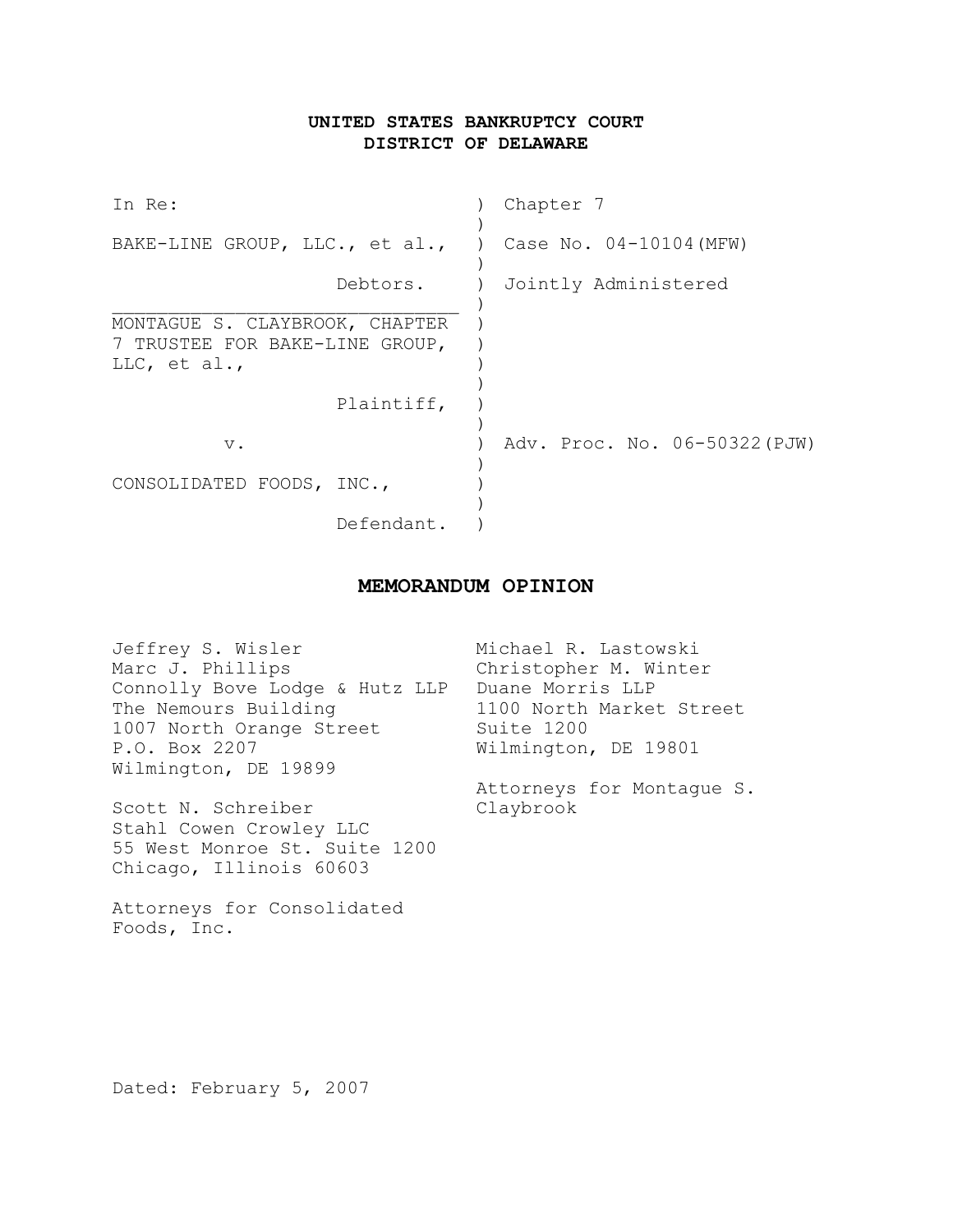# **UNITED STATES BANKRUPTCY COURT DISTRICT OF DELAWARE**

| In Re:                                                                           | Chapter 7                     |
|----------------------------------------------------------------------------------|-------------------------------|
| BAKE-LINE GROUP, LLC., et al., ) Case No. $04-10104$ (MFW)                       |                               |
| Debtors.                                                                         | Jointly Administered          |
| MONTAGUE S. CLAYBROOK, CHAPTER<br>7 TRUSTEE FOR BAKE-LINE GROUP,<br>LLC, et al., |                               |
| Plaintiff,                                                                       |                               |
| $V$ .                                                                            | Adv. Proc. No. 06-50322 (PJW) |
| CONSOLIDATED FOODS, INC.,                                                        |                               |
| Defendant.                                                                       |                               |

# **MEMORANDUM OPINION**

| Jeffrey S. Wisler              | Michael R. Lastowski      |
|--------------------------------|---------------------------|
| Marc J. Phillips               | Christopher M. Winter     |
| Connolly Bove Lodge & Hutz LLP | Duane Morris LLP          |
| The Nemours Building           | 1100 North Market Street  |
| 1007 North Orange Street       | Suite 1200                |
| P.O. Box 2207                  | Wilmington, DE 19801      |
| Wilmington, DE 19899           |                           |
|                                | Attorneys for Montaque S. |
| Scott N. Schreiber             | Claybrook                 |
| Stahl Cowen Crowley LLC        |                           |

Dated: February 5, 2007

55 West Monroe St. Suite 1200

Chicago, Illinois 60603

Foods, Inc.

Attorneys for Consolidated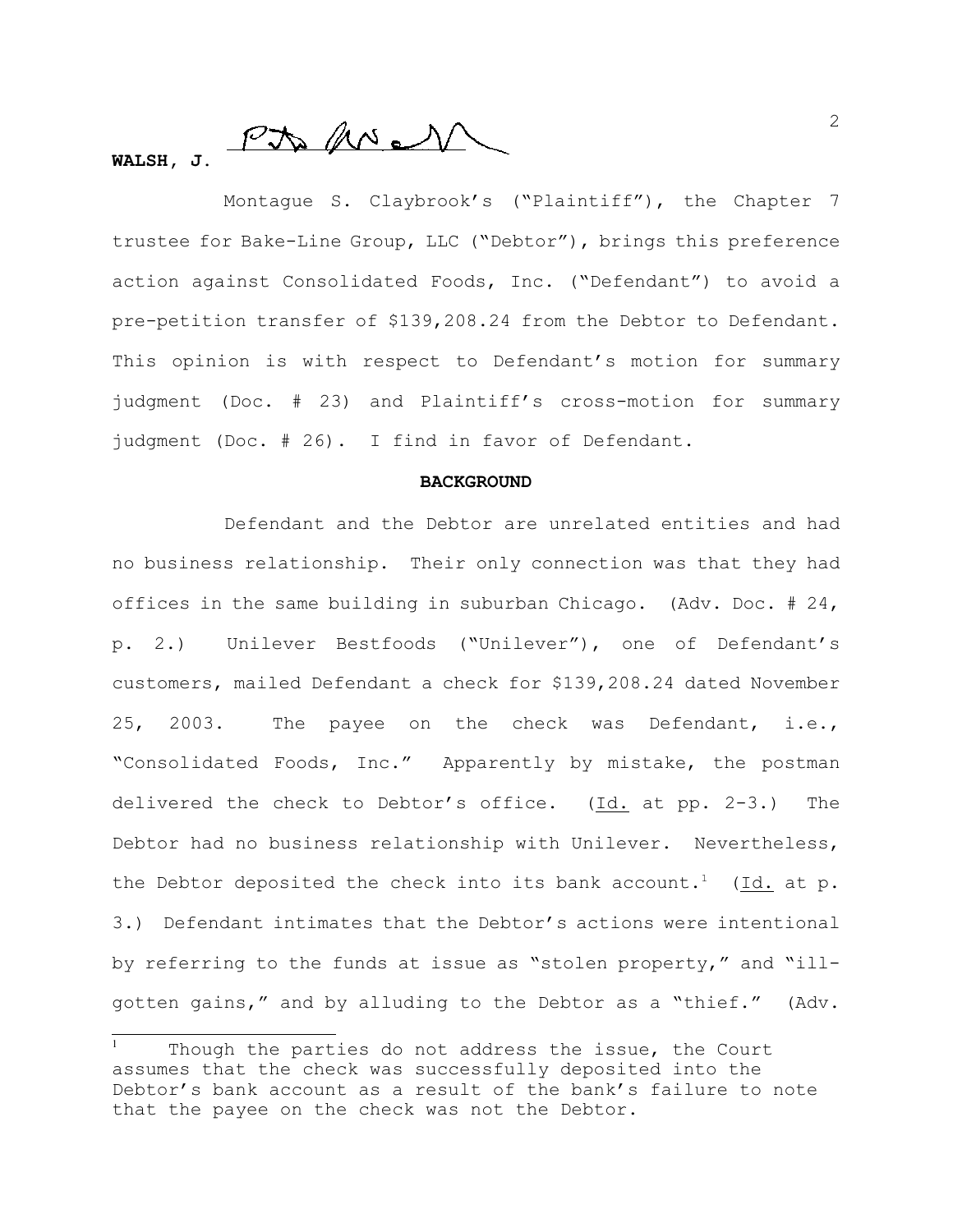$PN$  MeV

# **WALSH, J.**

Montague S. Claybrook's ("Plaintiff"), the Chapter 7 trustee for Bake-Line Group, LLC ("Debtor"), brings this preference action against Consolidated Foods, Inc. ("Defendant") to avoid a pre-petition transfer of \$139,208.24 from the Debtor to Defendant. This opinion is with respect to Defendant's motion for summary judgment (Doc. # 23) and Plaintiff's cross-motion for summary judgment (Doc. # 26). I find in favor of Defendant.

#### **BACKGROUND**

Defendant and the Debtor are unrelated entities and had no business relationship. Their only connection was that they had offices in the same building in suburban Chicago. (Adv. Doc. # 24, p. 2.) Unilever Bestfoods ("Unilever"), one of Defendant's customers, mailed Defendant a check for \$139,208.24 dated November 25, 2003. The payee on the check was Defendant, i.e., "Consolidated Foods, Inc." Apparently by mistake, the postman delivered the check to Debtor's office. (Id. at pp. 2-3.) The Debtor had no business relationship with Unilever. Nevertheless, the Debtor deposited the check into its bank account.<sup>1</sup> (Id. at p. 3.) Defendant intimates that the Debtor's actions were intentional by referring to the funds at issue as "stolen property," and "illgotten gains," and by alluding to the Debtor as a "thief." (Adv.

Though the parties do not address the issue, the Court assumes that the check was successfully deposited into the Debtor's bank account as a result of the bank's failure to note that the payee on the check was not the Debtor.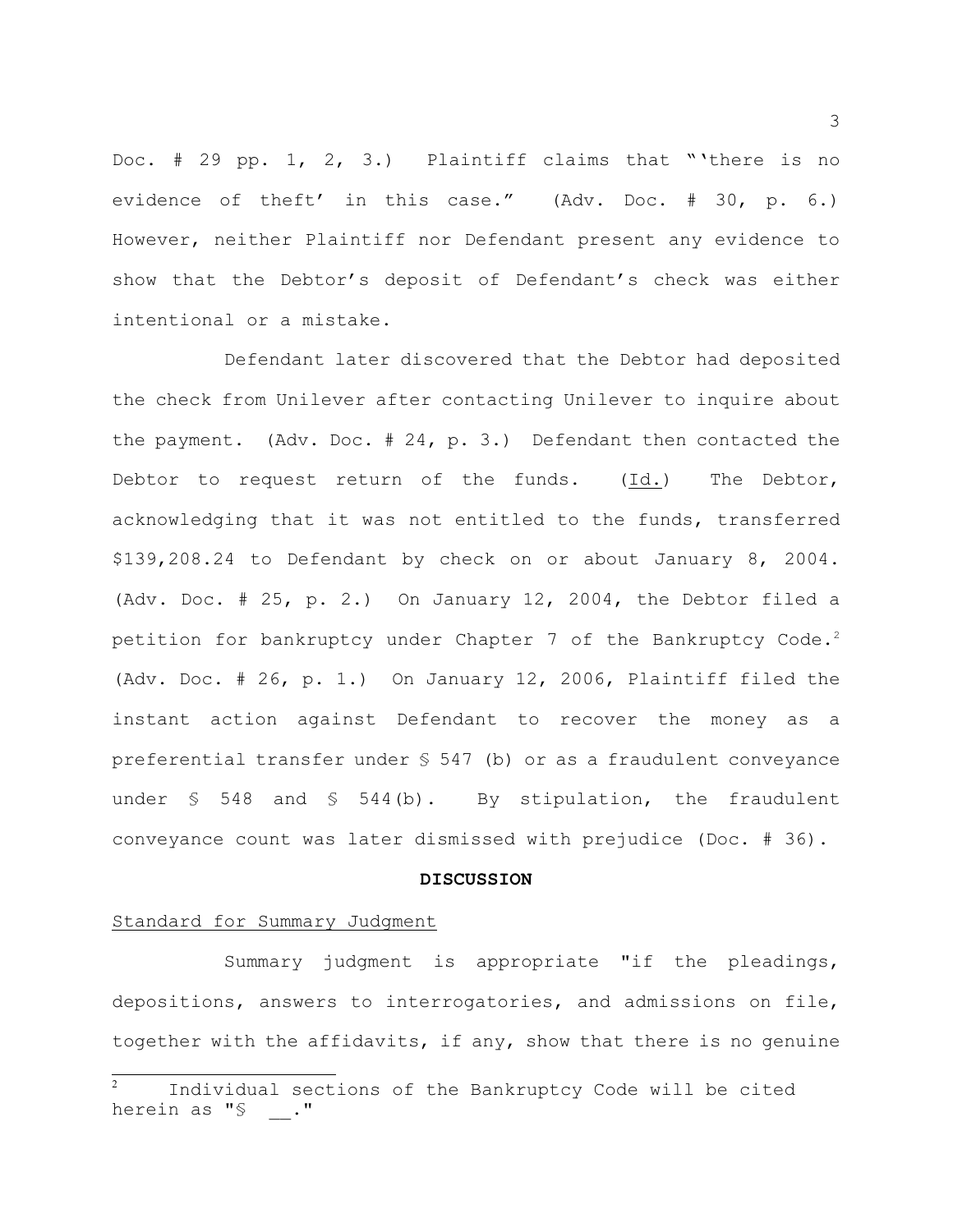Doc. # 29 pp. 1, 2, 3.) Plaintiff claims that "'there is no evidence of theft' in this case." (Adv. Doc. # 30, p. 6.) However, neither Plaintiff nor Defendant present any evidence to show that the Debtor's deposit of Defendant's check was either intentional or a mistake.

Defendant later discovered that the Debtor had deposited the check from Unilever after contacting Unilever to inquire about the payment. (Adv. Doc. # 24, p. 3.) Defendant then contacted the Debtor to request return of the funds. (Id.) The Debtor, acknowledging that it was not entitled to the funds, transferred \$139,208.24 to Defendant by check on or about January 8, 2004. (Adv. Doc. # 25, p. 2.) On January 12, 2004, the Debtor filed a petition for bankruptcy under Chapter 7 of the Bankruptcy Code.<sup>2</sup> (Adv. Doc. # 26, p. 1.) On January 12, 2006, Plaintiff filed the instant action against Defendant to recover the money as a preferential transfer under § 547 (b) or as a fraudulent conveyance under  $$548$  and  $$544(b)$ . By stipulation, the fraudulent conveyance count was later dismissed with prejudice (Doc. # 36).

#### **DISCUSSION**

#### Standard for Summary Judgment

Summary judgment is appropriate "if the pleadings, depositions, answers to interrogatories, and admissions on file, together with the affidavits, if any, show that there is no genuine

Individual sections of the Bankruptcy Code will be cited <sup>2</sup> herein as "§ ."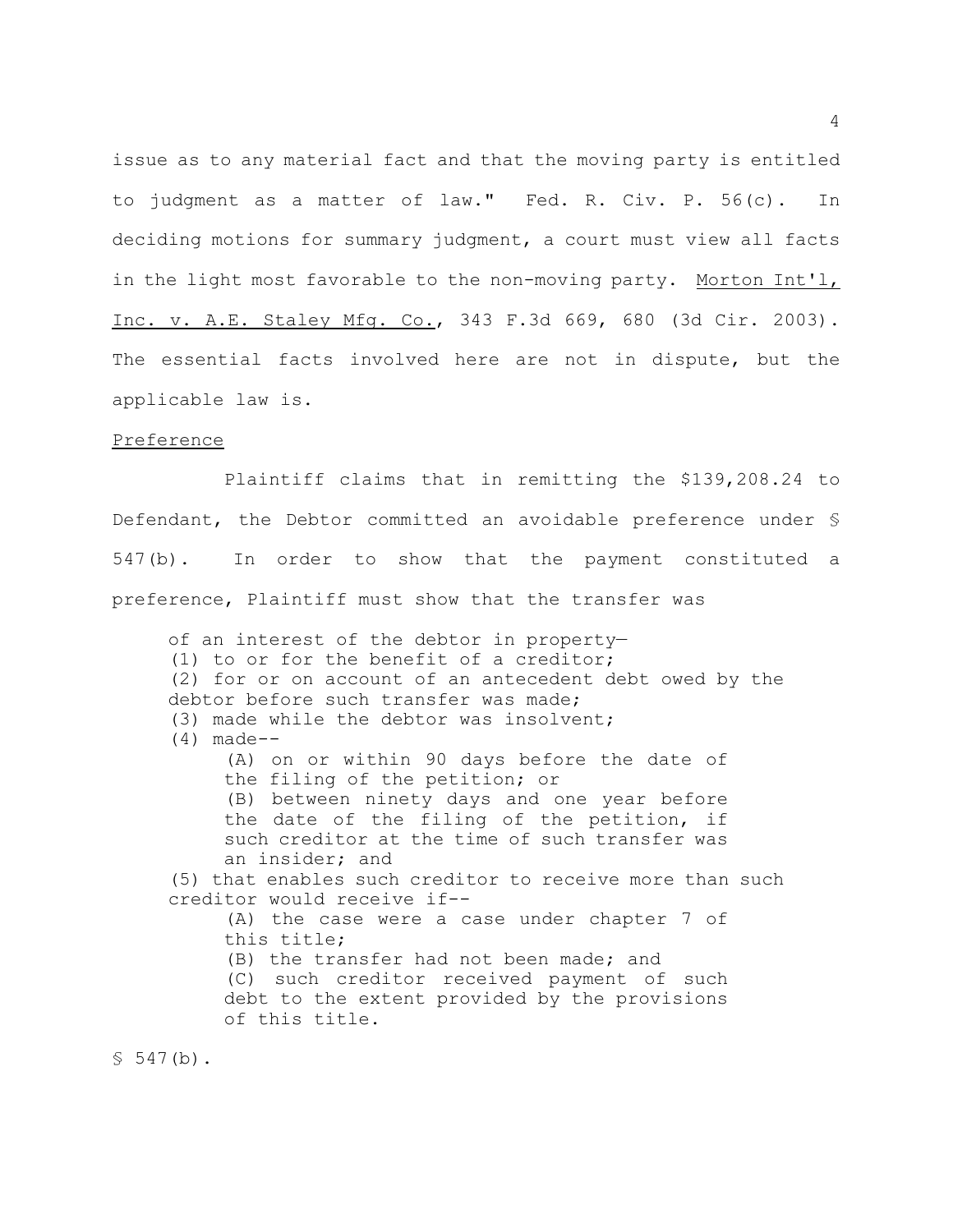issue as to any material fact and that the moving party is entitled to judgment as a matter of law." Fed. R. Civ. P. 56(c). In deciding motions for summary judgment, a court must view all facts in the light most favorable to the non-moving party. Morton Int'l, Inc. v. A.E. Staley Mfg. Co., 343 F.3d 669, 680 (3d Cir. 2003). The essential facts involved here are not in dispute, but the applicable law is.

#### Preference

Plaintiff claims that in remitting the \$139,208.24 to Defendant, the Debtor committed an avoidable preference under § 547(b). In order to show that the payment constituted a preference, Plaintiff must show that the transfer was

of an interest of the debtor in property— (1) to or for the benefit of a creditor; (2) for or on account of an antecedent debt owed by the debtor before such transfer was made; (3) made while the debtor was insolvent; (4) made-- (A) on or within 90 days before the date of the filing of the petition; or (B) between ninety days and one year before the date of the filing of the petition, if such creditor at the time of such transfer was an insider; and (5) that enables such creditor to receive more than such creditor would receive if-- (A) the case were a case under chapter 7 of this title; (B) the transfer had not been made; and (C) such creditor received payment of such debt to the extent provided by the provisions of this title.

 $$547(b).$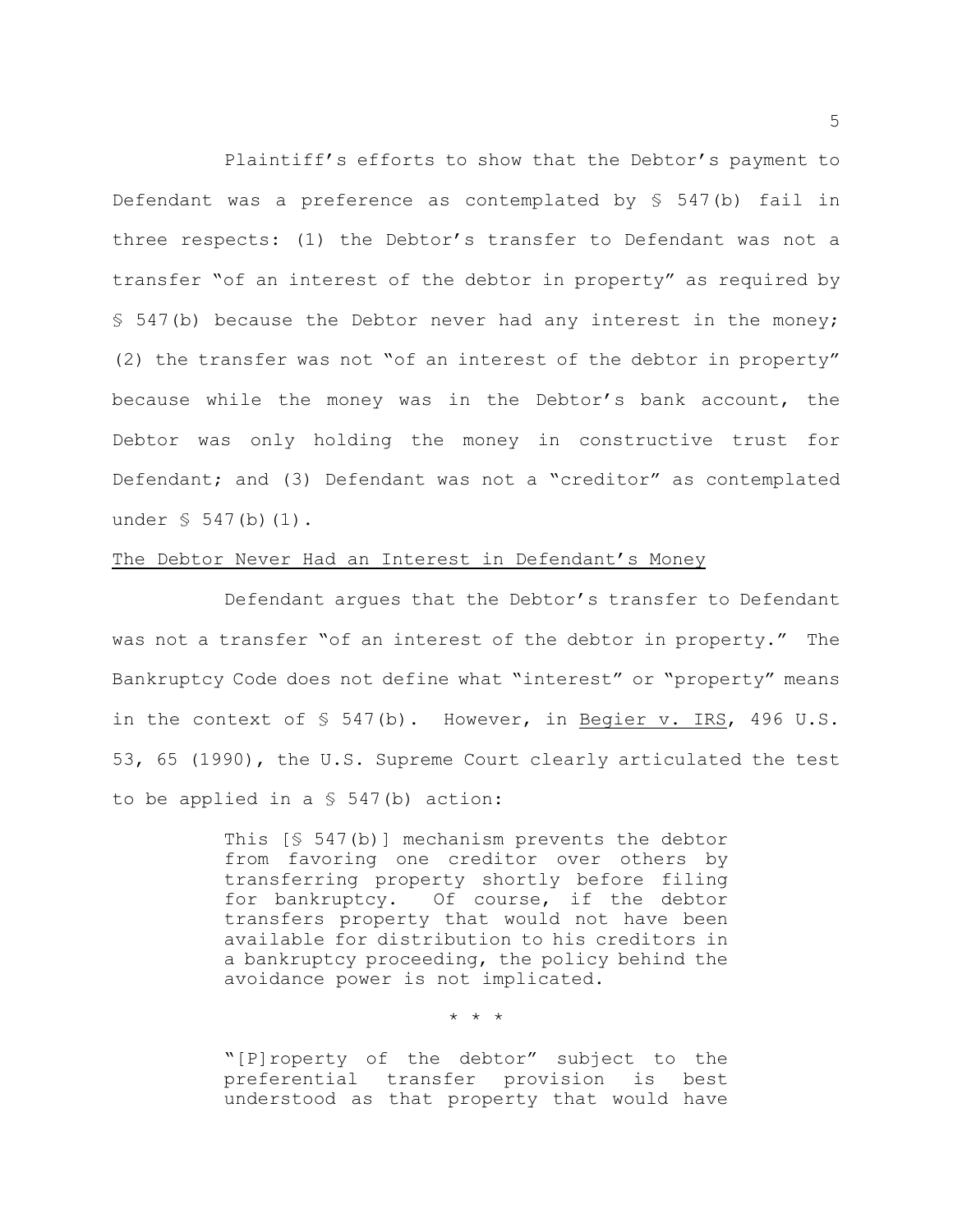Plaintiff's efforts to show that the Debtor's payment to Defendant was a preference as contemplated by  $$547(b)$  fail in three respects: (1) the Debtor's transfer to Defendant was not a transfer "of an interest of the debtor in property" as required by § 547(b) because the Debtor never had any interest in the money; (2) the transfer was not "of an interest of the debtor in property" because while the money was in the Debtor's bank account, the Debtor was only holding the money in constructive trust for Defendant; and (3) Defendant was not a "creditor" as contemplated under  $\S$  547(b)(1).

### The Debtor Never Had an Interest in Defendant's Money

Defendant argues that the Debtor's transfer to Defendant was not a transfer "of an interest of the debtor in property." The Bankruptcy Code does not define what "interest" or "property" means in the context of  $\S$  547(b). However, in Begier v. IRS, 496 U.S. 53, 65 (1990), the U.S. Supreme Court clearly articulated the test to be applied in a § 547(b) action:

> This [§ 547(b)] mechanism prevents the debtor from favoring one creditor over others by transferring property shortly before filing for bankruptcy. Of course, if the debtor transfers property that would not have been available for distribution to his creditors in a bankruptcy proceeding, the policy behind the avoidance power is not implicated.

> > \* \* \*

"[P]roperty of the debtor" subject to the preferential transfer provision is best understood as that property that would have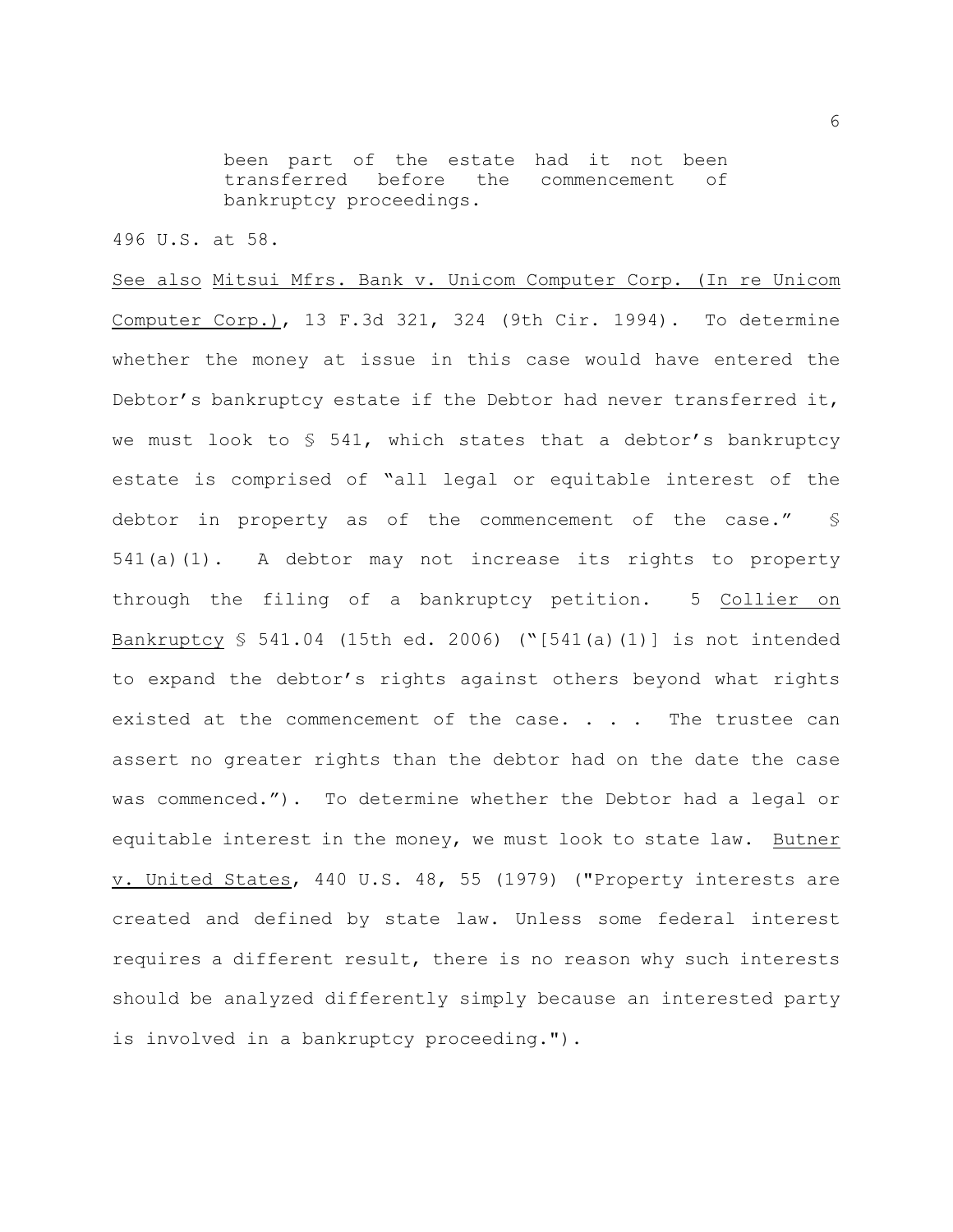been part of the estate had it not been transferred before the commencement of bankruptcy proceedings.

496 U.S. at 58.

See also Mitsui Mfrs. Bank v. Unicom Computer Corp. (In re Unicom Computer Corp.), 13 F.3d 321, 324 (9th Cir. 1994). To determine whether the money at issue in this case would have entered the Debtor's bankruptcy estate if the Debtor had never transferred it, we must look to  $\S$  541, which states that a debtor's bankruptcy estate is comprised of "all legal or equitable interest of the debtor in property as of the commencement of the case." § 541(a)(1). A debtor may not increase its rights to property through the filing of a bankruptcy petition. 5 Collier on Bankruptcy § 541.04 (15th ed. 2006) ("[541(a)(1)] is not intended to expand the debtor's rights against others beyond what rights existed at the commencement of the case. . . . The trustee can assert no greater rights than the debtor had on the date the case was commenced."). To determine whether the Debtor had a legal or equitable interest in the money, we must look to state law. Butner v. United States, 440 U.S. 48, 55 (1979) ("Property interests are created and defined by state law. Unless some federal interest requires a different result, there is no reason why such interests should be analyzed differently simply because an interested party is involved in a bankruptcy proceeding.").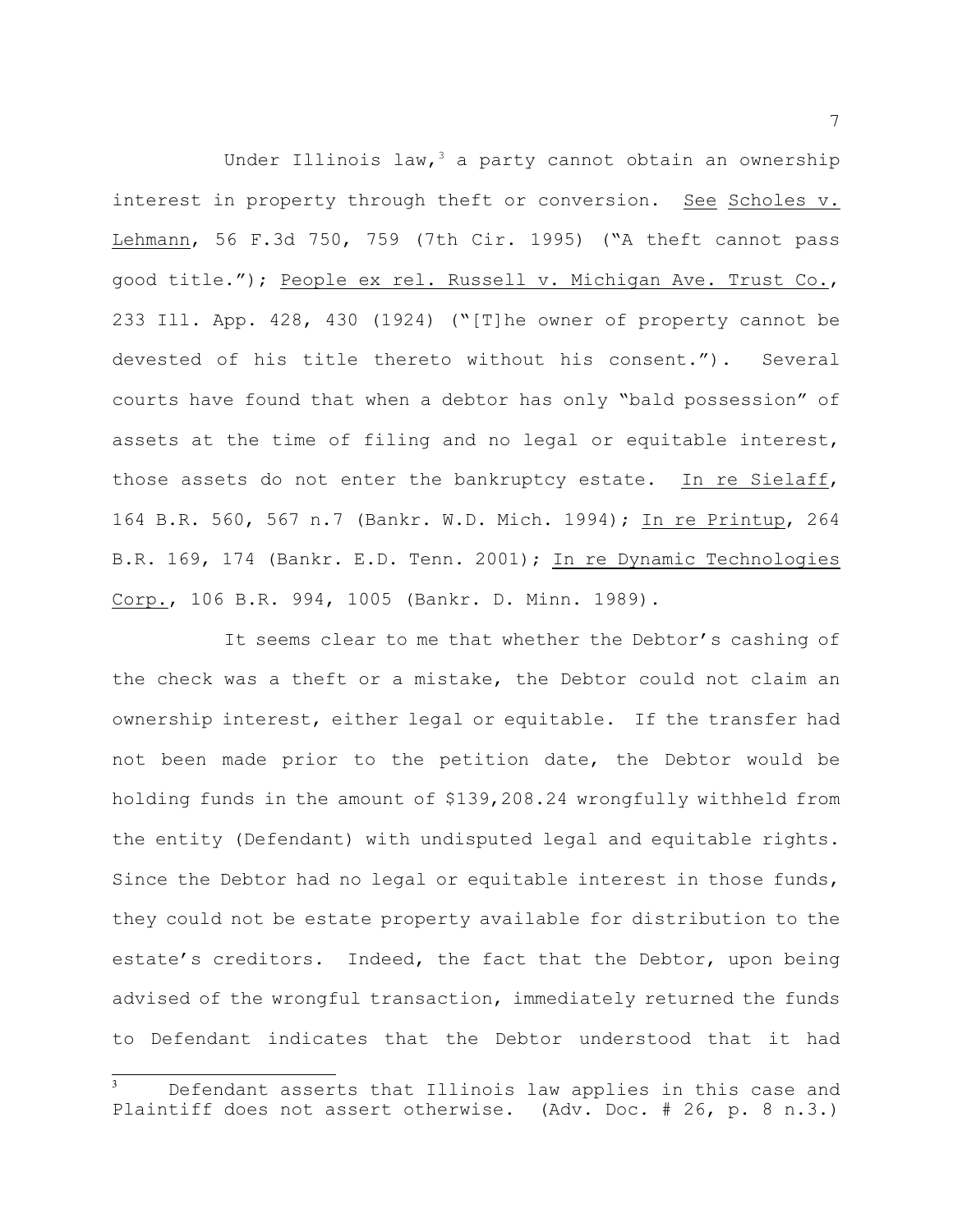Under Illinois law,  $3$  a party cannot obtain an ownership interest in property through theft or conversion. See Scholes v. Lehmann, 56 F.3d 750, 759 (7th Cir. 1995) ("A theft cannot pass good title."); People ex rel. Russell v. Michigan Ave. Trust Co., 233 Ill. App. 428, 430 (1924) ("[T]he owner of property cannot be devested of his title thereto without his consent."). Several courts have found that when a debtor has only "bald possession" of assets at the time of filing and no legal or equitable interest, those assets do not enter the bankruptcy estate. In re Sielaff, 164 B.R. 560, 567 n.7 (Bankr. W.D. Mich. 1994); In re Printup, 264 B.R. 169, 174 (Bankr. E.D. Tenn. 2001); In re Dynamic Technologies Corp., 106 B.R. 994, 1005 (Bankr. D. Minn. 1989).

It seems clear to me that whether the Debtor's cashing of the check was a theft or a mistake, the Debtor could not claim an ownership interest, either legal or equitable. If the transfer had not been made prior to the petition date, the Debtor would be holding funds in the amount of \$139,208.24 wrongfully withheld from the entity (Defendant) with undisputed legal and equitable rights. Since the Debtor had no legal or equitable interest in those funds, they could not be estate property available for distribution to the estate's creditors. Indeed, the fact that the Debtor, upon being advised of the wrongful transaction, immediately returned the funds to Defendant indicates that the Debtor understood that it had

Defendant asserts that Illinois law applies in this case and Plaintiff does not assert otherwise. (Adv. Doc. # 26, p. 8 n.3.)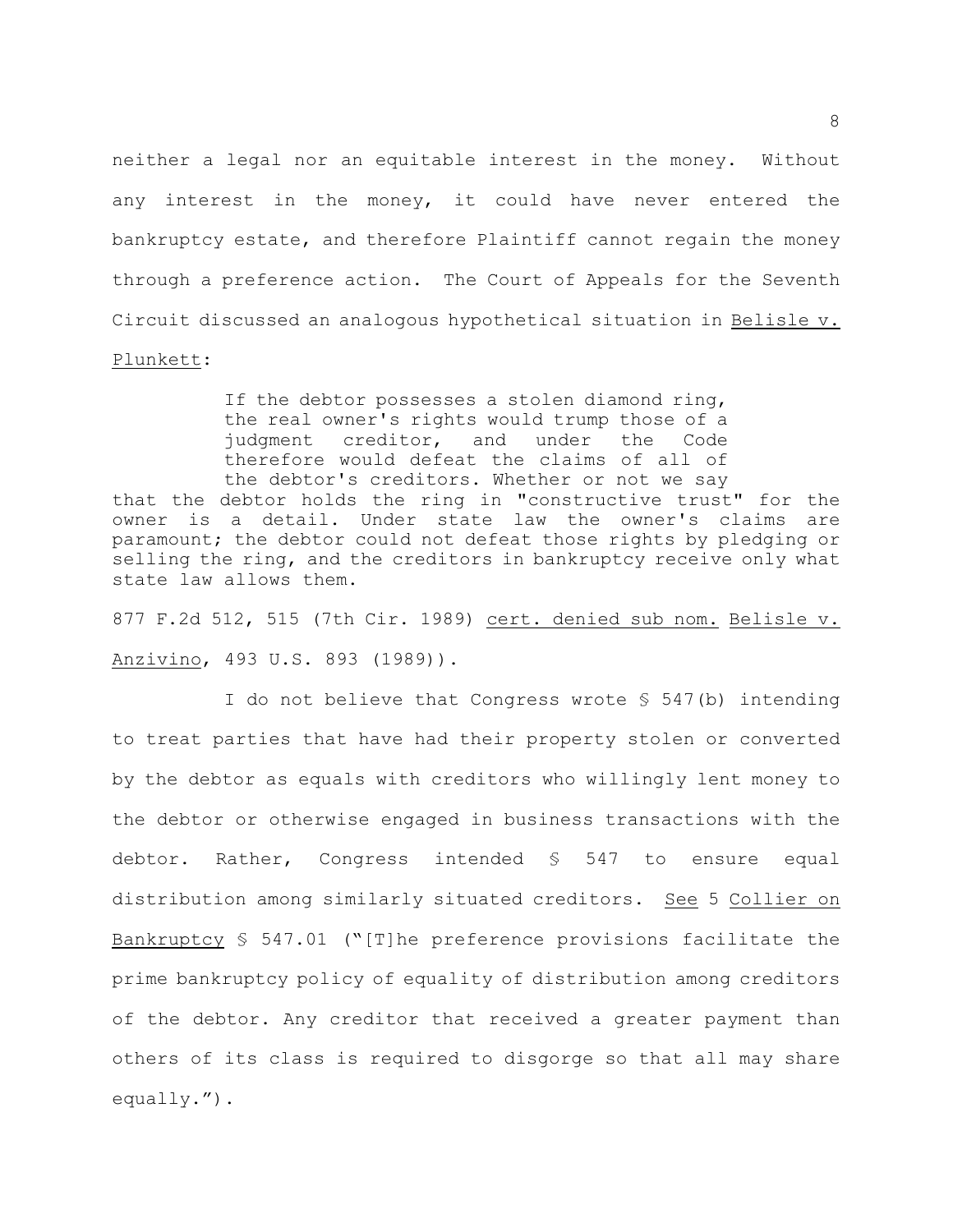neither a legal nor an equitable interest in the money. Without any interest in the money, it could have never entered the bankruptcy estate, and therefore Plaintiff cannot regain the money through a preference action. The Court of Appeals for the Seventh Circuit discussed an analogous hypothetical situation in Belisle v. Plunkett:

If the debtor possesses a stolen diamond ring, the real owner's rights would trump those of a judgment creditor, and under the Code therefore would defeat the claims of all of the debtor's creditors. Whether or not we say that the debtor holds the ring in "constructive trust" for the owner is a detail. Under state law the owner's claims are paramount; the debtor could not defeat those rights by pledging or selling the ring, and the creditors in bankruptcy receive only what state law allows them.

877 F.2d 512, 515 (7th Cir. 1989) cert. denied sub nom. Belisle v. Anzivino, 493 U.S. 893 (1989)).

I do not believe that Congress wrote § 547(b) intending to treat parties that have had their property stolen or converted by the debtor as equals with creditors who willingly lent money to the debtor or otherwise engaged in business transactions with the debtor. Rather, Congress intended § 547 to ensure equal distribution among similarly situated creditors. See 5 Collier on Bankruptcy § 547.01 ("[T]he preference provisions facilitate the prime bankruptcy policy of equality of distribution among creditors of the debtor. Any creditor that received a greater payment than others of its class is required to disgorge so that all may share equally.").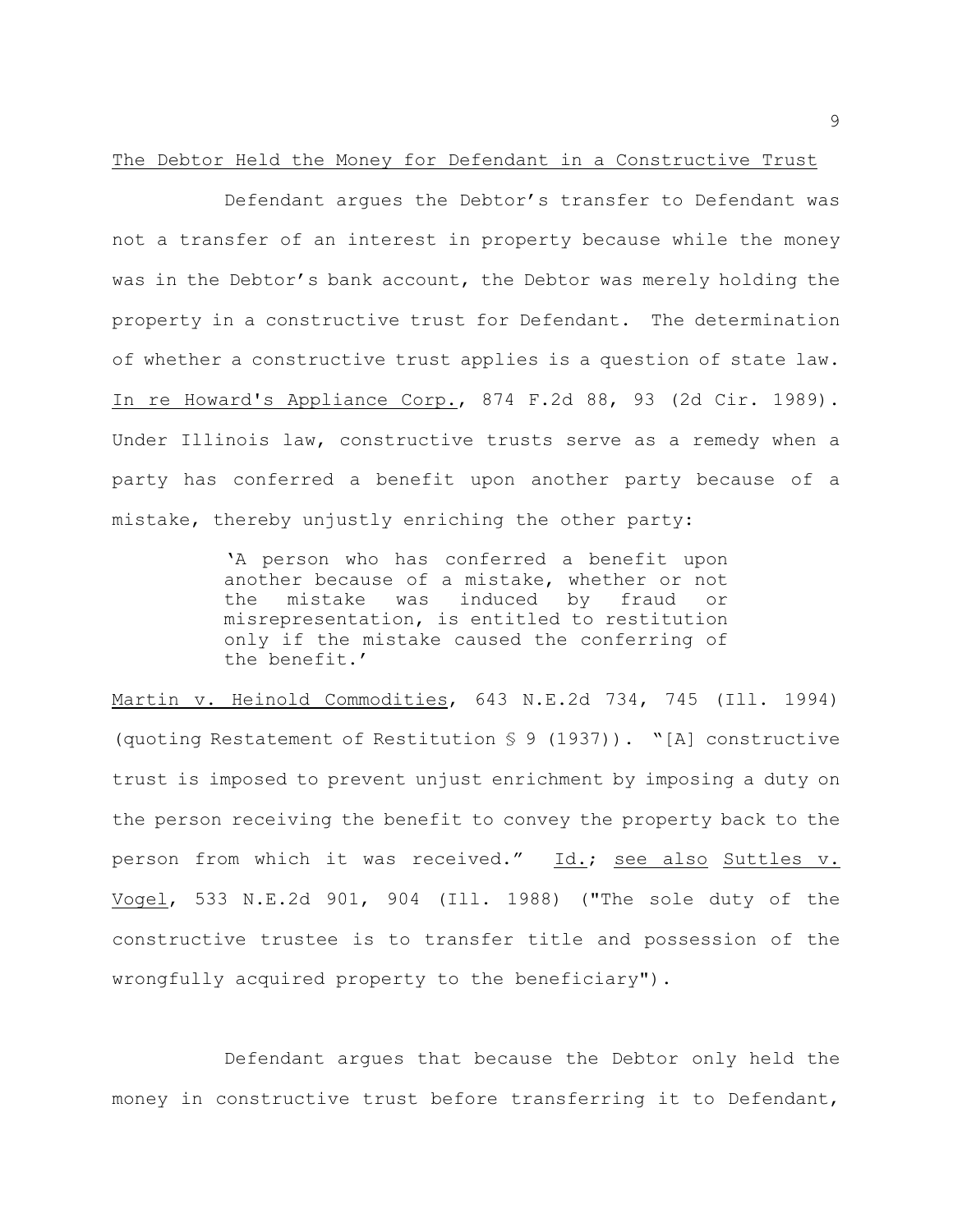#### The Debtor Held the Money for Defendant in a Constructive Trust

Defendant argues the Debtor's transfer to Defendant was not a transfer of an interest in property because while the money was in the Debtor's bank account, the Debtor was merely holding the property in a constructive trust for Defendant. The determination of whether a constructive trust applies is a question of state law. In re Howard's Appliance Corp., 874 F.2d 88, 93 (2d Cir. 1989). Under Illinois law, constructive trusts serve as a remedy when a party has conferred a benefit upon another party because of a mistake, thereby unjustly enriching the other party:

> 'A person who has conferred a benefit upon another because of a mistake, whether or not the mistake was induced by fraud or misrepresentation, is entitled to restitution only if the mistake caused the conferring of the benefit.'

Martin v. Heinold Commodities, 643 N.E.2d 734, 745 (Ill. 1994) (quoting Restatement of Restitution § 9 (1937)). "[A] constructive trust is imposed to prevent unjust enrichment by imposing a duty on the person receiving the benefit to convey the property back to the person from which it was received." Id.; see also Suttles v. Vogel, 533 N.E.2d 901, 904 (Ill. 1988) ("The sole duty of the constructive trustee is to transfer title and possession of the wrongfully acquired property to the beneficiary").

Defendant argues that because the Debtor only held the money in constructive trust before transferring it to Defendant,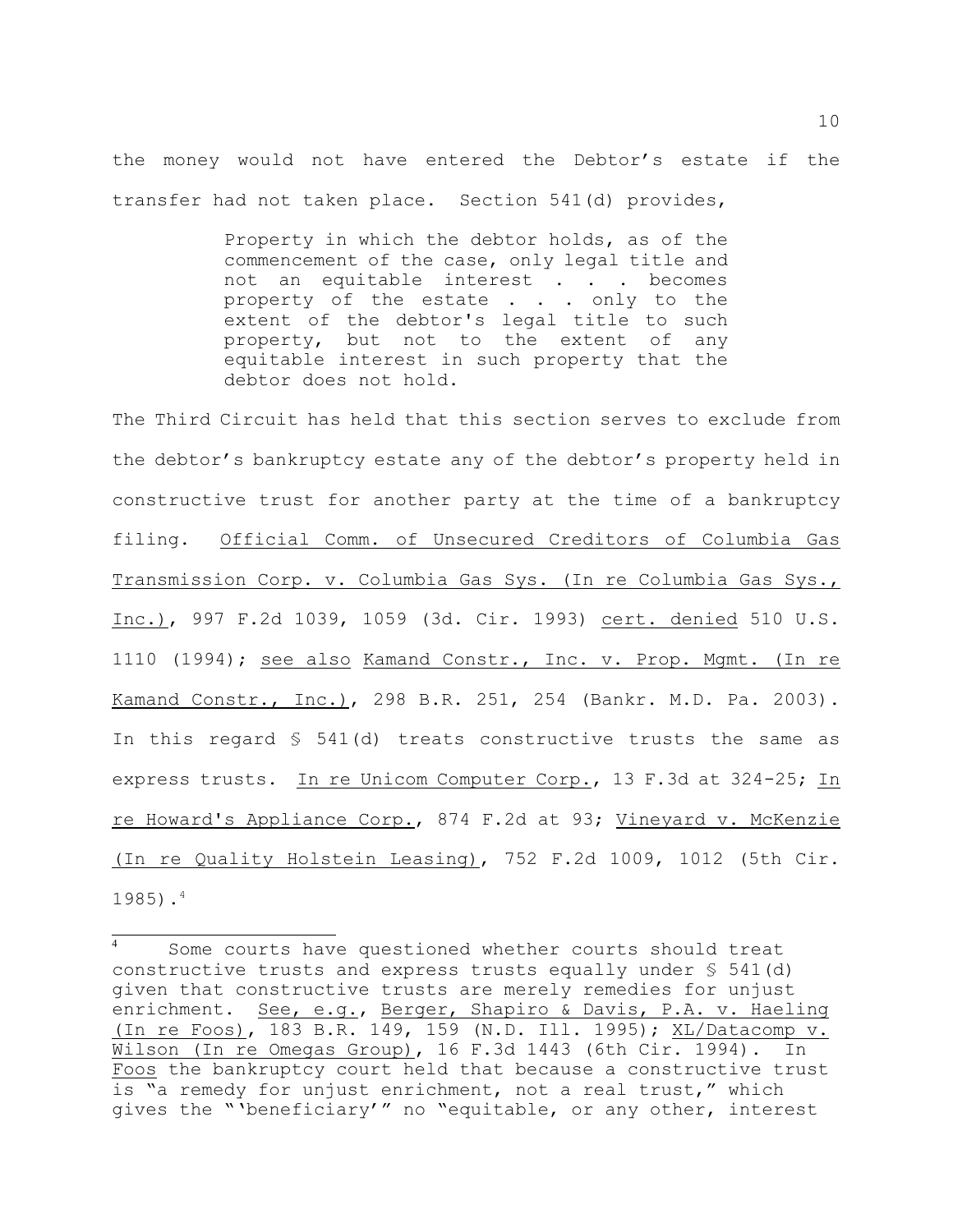the money would not have entered the Debtor's estate if the transfer had not taken place. Section 541(d) provides,

> Property in which the debtor holds, as of the commencement of the case, only legal title and not an equitable interest . . . becomes property of the estate . . . only to the extent of the debtor's legal title to such property, but not to the extent of any equitable interest in such property that the debtor does not hold.

The Third Circuit has held that this section serves to exclude from the debtor's bankruptcy estate any of the debtor's property held in constructive trust for another party at the time of a bankruptcy filing. Official Comm. of Unsecured Creditors of Columbia Gas Transmission Corp. v. Columbia Gas Sys. (In re Columbia Gas Sys., Inc.), 997 F.2d 1039, 1059 (3d. Cir. 1993) cert. denied 510 U.S. 1110 (1994); see also Kamand Constr., Inc. v. Prop. Mgmt. (In re Kamand Constr., Inc.), 298 B.R. 251, 254 (Bankr. M.D. Pa. 2003). In this regard § 541(d) treats constructive trusts the same as express trusts. In re Unicom Computer Corp., 13 F.3d at 324-25; In re Howard's Appliance Corp., 874 F.2d at 93; Vineyard v. McKenzie (In re Quality Holstein Leasing), 752 F.2d 1009, 1012 (5th Cir. 1985). 4

Some courts have questioned whether courts should treat constructive trusts and express trusts equally under  $\S$  541(d) given that constructive trusts are merely remedies for unjust enrichment. See, e.g., Berger, Shapiro & Davis, P.A. v. Haeling (In re Foos), 183 B.R. 149, 159 (N.D. Ill. 1995); XL/Datacomp v. Wilson (In re Omegas Group), 16 F.3d 1443 (6th Cir. 1994). In Foos the bankruptcy court held that because a constructive trust is "a remedy for unjust enrichment, not a real trust," which gives the "'beneficiary'" no "equitable, or any other, interest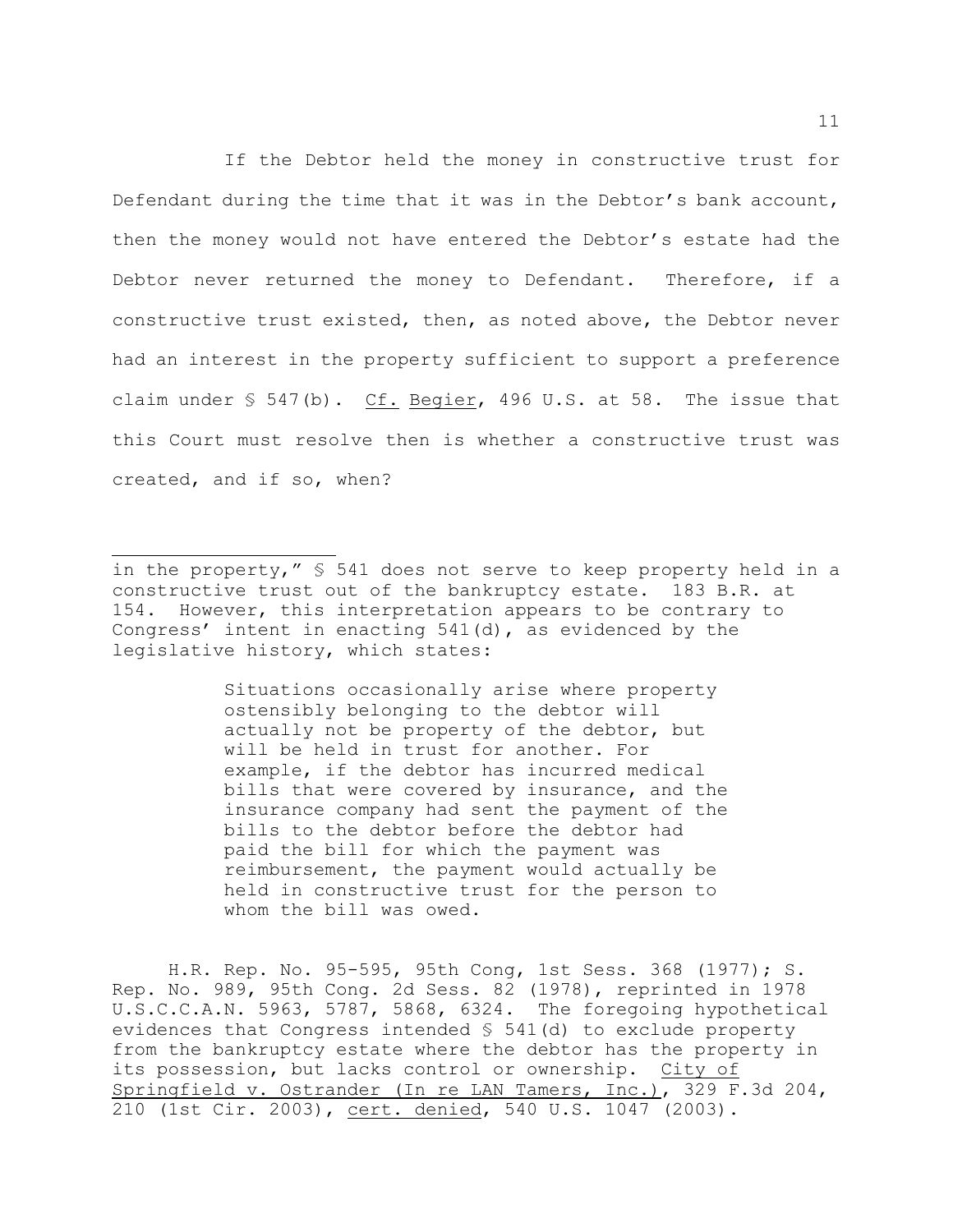If the Debtor held the money in constructive trust for Defendant during the time that it was in the Debtor's bank account, then the money would not have entered the Debtor's estate had the Debtor never returned the money to Defendant. Therefore, if a constructive trust existed, then, as noted above, the Debtor never had an interest in the property sufficient to support a preference claim under  $\S$  547(b). Cf. Begier, 496 U.S. at 58. The issue that this Court must resolve then is whether a constructive trust was created, and if so, when?

Situations occasionally arise where property ostensibly belonging to the debtor will actually not be property of the debtor, but will be held in trust for another. For example, if the debtor has incurred medical bills that were covered by insurance, and the insurance company had sent the payment of the bills to the debtor before the debtor had paid the bill for which the payment was reimbursement, the payment would actually be held in constructive trust for the person to whom the bill was owed.

H.R. Rep. No. 95-595, 95th Cong, 1st Sess. 368 (1977); S. Rep. No. 989, 95th Cong. 2d Sess. 82 (1978), reprinted in 1978 U.S.C.C.A.N. 5963, 5787, 5868, 6324. The foregoing hypothetical evidences that Congress intended § 541(d) to exclude property from the bankruptcy estate where the debtor has the property in its possession, but lacks control or ownership. City of Springfield v. Ostrander (In re LAN Tamers, Inc.), 329 F.3d 204, 210 (1st Cir. 2003), cert. denied, 540 U.S. 1047 (2003).

in the property," § 541 does not serve to keep property held in a constructive trust out of the bankruptcy estate. 183 B.R. at 154. However, this interpretation appears to be contrary to Congress' intent in enacting 541(d), as evidenced by the legislative history, which states: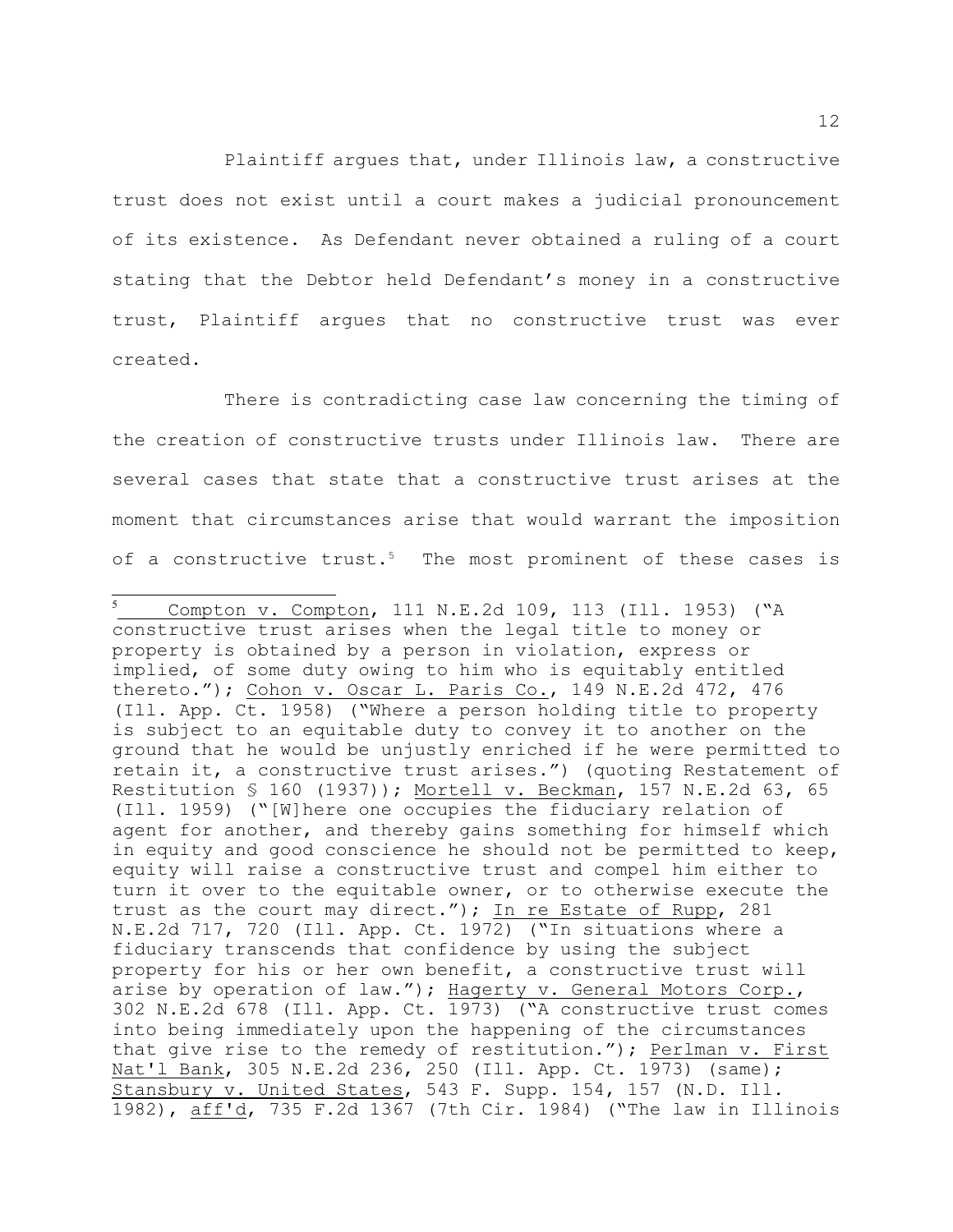Plaintiff argues that, under Illinois law, a constructive trust does not exist until a court makes a judicial pronouncement of its existence. As Defendant never obtained a ruling of a court stating that the Debtor held Defendant's money in a constructive trust, Plaintiff argues that no constructive trust was ever created.

There is contradicting case law concerning the timing of the creation of constructive trusts under Illinois law. There are several cases that state that a constructive trust arises at the moment that circumstances arise that would warrant the imposition of a constructive trust.<sup>5</sup> The most prominent of these cases is

Compton v. Compton, 111 N.E.2d 109, 113 (Ill. 1953) ("A constructive trust arises when the legal title to money or property is obtained by a person in violation, express or implied, of some duty owing to him who is equitably entitled thereto."); Cohon v. Oscar L. Paris Co., 149 N.E.2d 472, 476 (Ill. App. Ct. 1958) ("Where a person holding title to property is subject to an equitable duty to convey it to another on the ground that he would be unjustly enriched if he were permitted to retain it, a constructive trust arises.") (quoting Restatement of Restitution § 160 (1937)); Mortell v. Beckman, 157 N.E.2d 63, 65 (Ill. 1959) ("[W]here one occupies the fiduciary relation of agent for another, and thereby gains something for himself which in equity and good conscience he should not be permitted to keep, equity will raise a constructive trust and compel him either to turn it over to the equitable owner, or to otherwise execute the trust as the court may direct."); In re Estate of Rupp, 281 N.E.2d 717, 720 (Ill. App. Ct. 1972) ("In situations where a fiduciary transcends that confidence by using the subject property for his or her own benefit, a constructive trust will arise by operation of law."); Hagerty v. General Motors Corp., 302 N.E.2d 678 (Ill. App. Ct. 1973) ("A constructive trust comes into being immediately upon the happening of the circumstances that give rise to the remedy of restitution."); Perlman v. First Nat'l Bank, 305 N.E.2d 236, 250 (Ill. App. Ct. 1973) (same); Stansbury v. United States, 543 F. Supp. 154, 157 (N.D. Ill. 1982), aff'd, 735 F.2d 1367 (7th Cir. 1984) ("The law in Illinois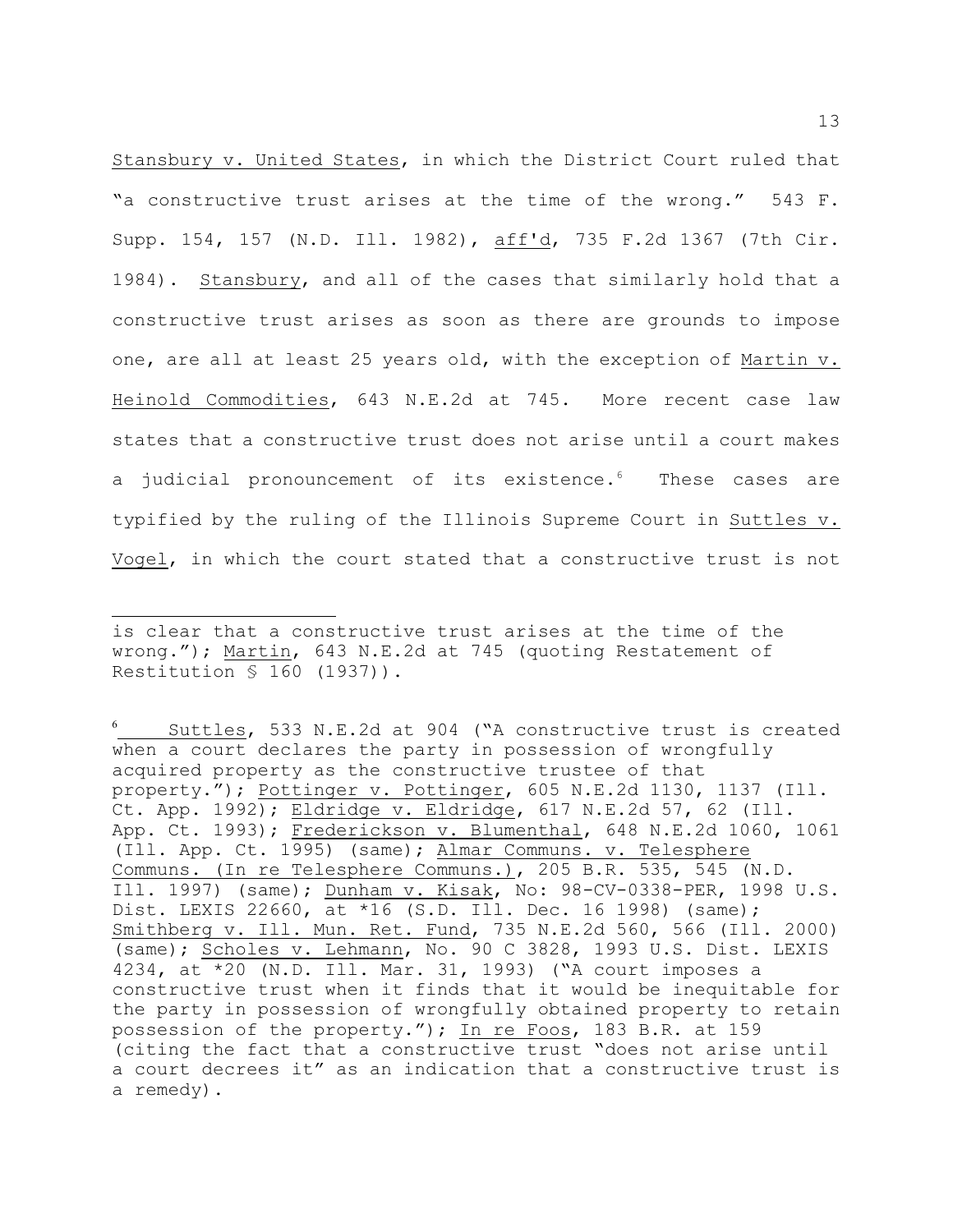Stansbury v. United States, in which the District Court ruled that "a constructive trust arises at the time of the wrong." 543 F. Supp. 154, 157 (N.D. Ill. 1982), aff'd, 735 F.2d 1367 (7th Cir. 1984). Stansbury, and all of the cases that similarly hold that a constructive trust arises as soon as there are grounds to impose one, are all at least 25 years old, with the exception of Martin v. Heinold Commodities, 643 N.E.2d at 745. More recent case law states that a constructive trust does not arise until a court makes a judicial pronouncement of its existence.<sup>6</sup> These cases are typified by the ruling of the Illinois Supreme Court in Suttles v. Vogel, in which the court stated that a constructive trust is not

is clear that a constructive trust arises at the time of the wrong."); Martin, 643 N.E.2d at 745 (quoting Restatement of Restitution § 160 (1937)).

Suttles, 533 N.E.2d at 904 ("A constructive trust is created when a court declares the party in possession of wrongfully acquired property as the constructive trustee of that property."); Pottinger v. Pottinger, 605 N.E.2d 1130, 1137 (Ill. Ct. App. 1992); Eldridge v. Eldridge, 617 N.E.2d 57, 62 (Ill. App. Ct. 1993); Frederickson v. Blumenthal, 648 N.E.2d 1060, 1061 (Ill. App. Ct. 1995) (same); Almar Communs. v. Telesphere Communs. (In re Telesphere Communs.), 205 B.R. 535, 545 (N.D. Ill. 1997) (same); Dunham v. Kisak, No: 98-CV-0338-PER, 1998 U.S. Dist. LEXIS 22660, at \*16 (S.D. Ill. Dec. 16 1998) (same); Smithberg v. Ill. Mun. Ret. Fund, 735 N.E.2d 560, 566 (Ill. 2000) (same); Scholes v. Lehmann, No. 90 C 3828, 1993 U.S. Dist. LEXIS 4234, at \*20 (N.D. Ill. Mar. 31, 1993) ("A court imposes a constructive trust when it finds that it would be inequitable for the party in possession of wrongfully obtained property to retain possession of the property."); In re Foos, 183 B.R. at 159 (citing the fact that a constructive trust "does not arise until a court decrees it" as an indication that a constructive trust is a remedy).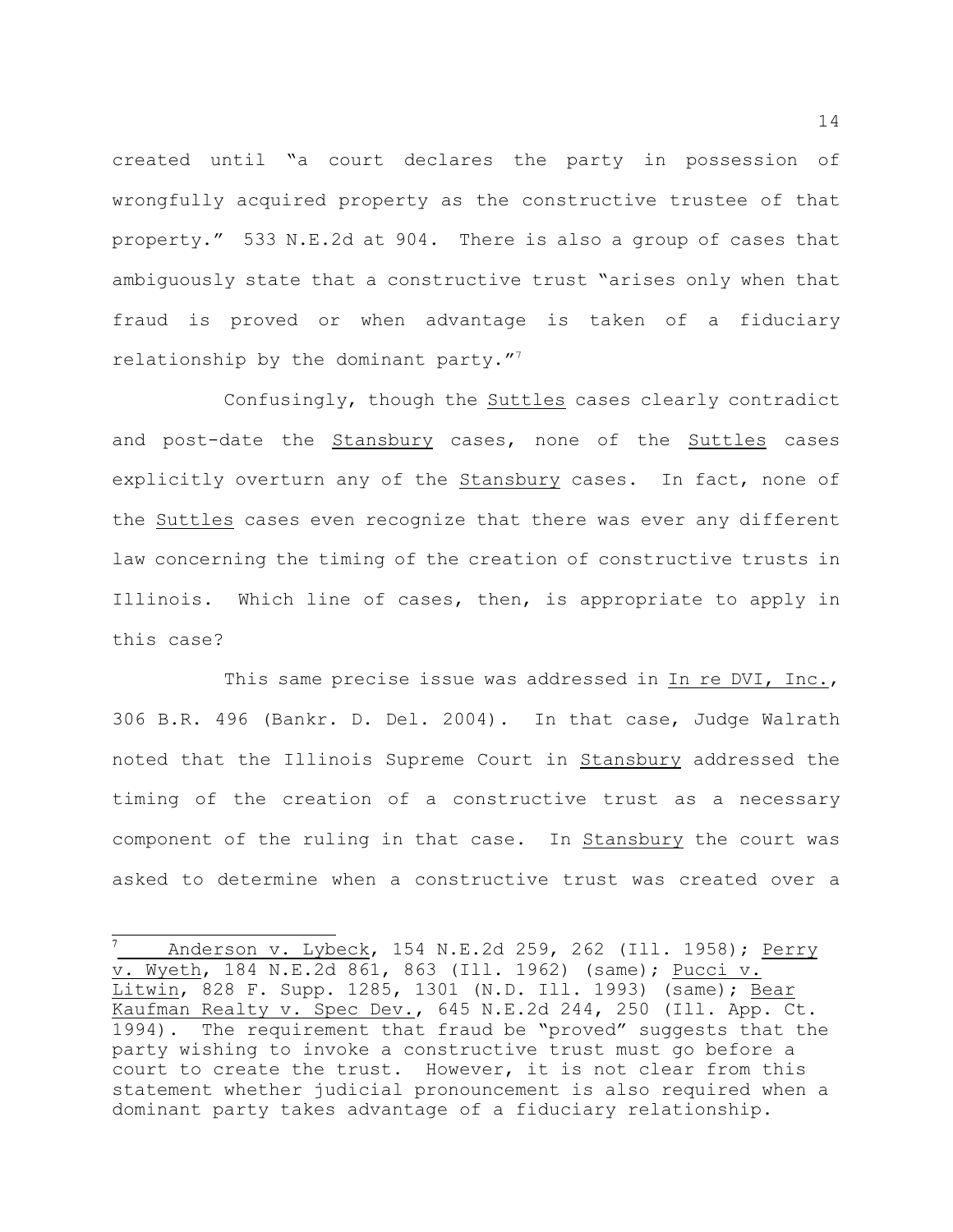created until "a court declares the party in possession of wrongfully acquired property as the constructive trustee of that property." 533 N.E.2d at 904. There is also a group of cases that ambiguously state that a constructive trust "arises only when that fraud is proved or when advantage is taken of a fiduciary relationship by the dominant party."<sup>7</sup>

Confusingly, though the Suttles cases clearly contradict and post-date the Stansbury cases, none of the Suttles cases explicitly overturn any of the Stansbury cases. In fact, none of the Suttles cases even recognize that there was ever any different law concerning the timing of the creation of constructive trusts in Illinois. Which line of cases, then, is appropriate to apply in this case?

This same precise issue was addressed in In re DVI, Inc., 306 B.R. 496 (Bankr. D. Del. 2004). In that case, Judge Walrath noted that the Illinois Supreme Court in Stansbury addressed the timing of the creation of a constructive trust as a necessary component of the ruling in that case. In Stansbury the court was asked to determine when a constructive trust was created over a

Anderson v. Lybeck, 154 N.E.2d 259, 262 (Ill. 1958); Perry <sup>7</sup> v. Wyeth, 184 N.E.2d 861, 863 (Ill. 1962) (same); Pucci v. Litwin, 828 F. Supp. 1285, 1301 (N.D. Ill. 1993) (same); Bear Kaufman Realty v. Spec Dev., 645 N.E.2d 244, 250 (Ill. App. Ct. 1994). The requirement that fraud be "proved" suggests that the party wishing to invoke a constructive trust must go before a court to create the trust. However, it is not clear from this statement whether judicial pronouncement is also required when a dominant party takes advantage of a fiduciary relationship.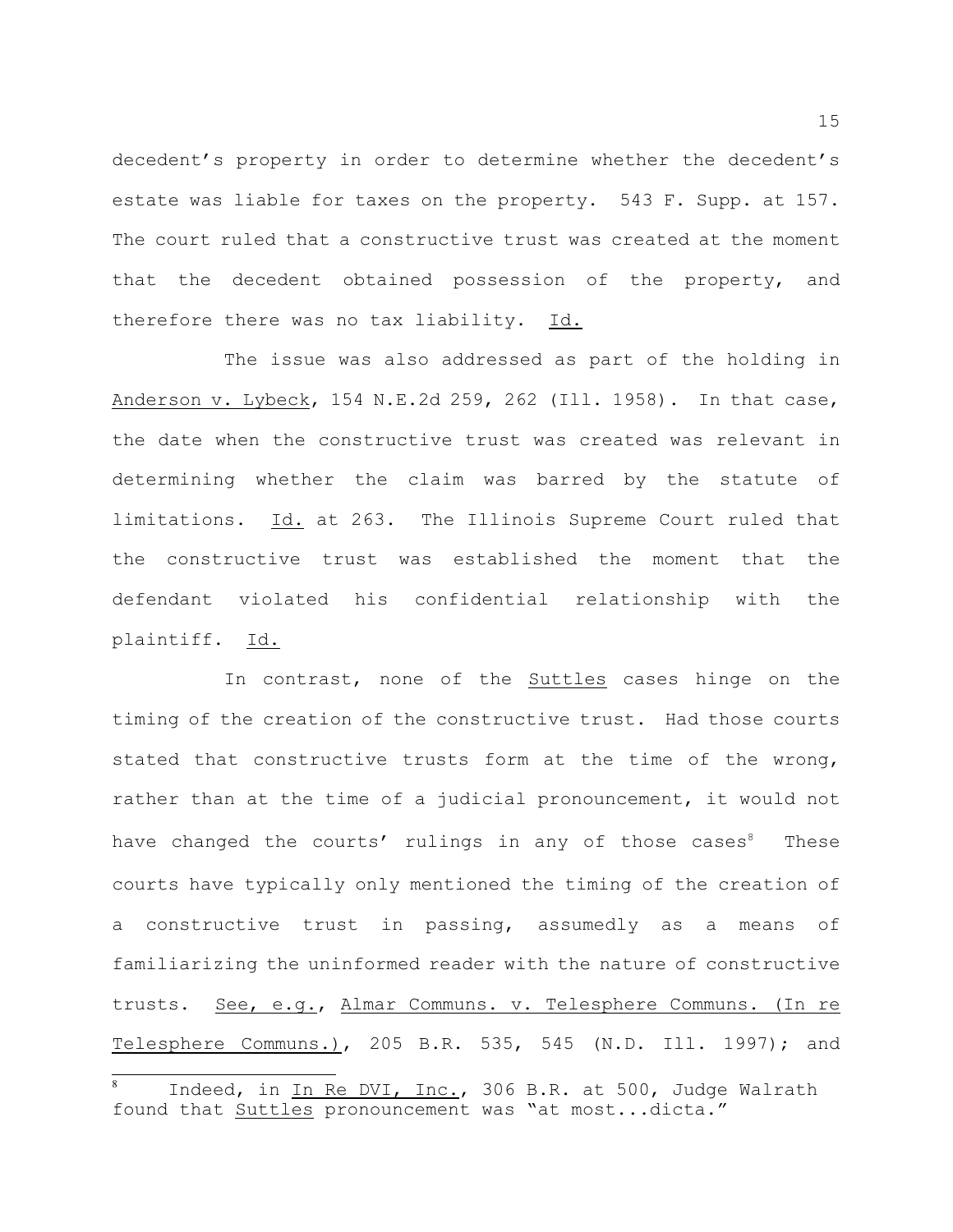decedent's property in order to determine whether the decedent's estate was liable for taxes on the property. 543 F. Supp. at 157. The court ruled that a constructive trust was created at the moment that the decedent obtained possession of the property, and therefore there was no tax liability. Id.

The issue was also addressed as part of the holding in Anderson v. Lybeck, 154 N.E.2d 259, 262 (Ill. 1958). In that case, the date when the constructive trust was created was relevant in determining whether the claim was barred by the statute of limitations. Id. at 263. The Illinois Supreme Court ruled that the constructive trust was established the moment that the defendant violated his confidential relationship with the plaintiff. Id.

In contrast, none of the Suttles cases hinge on the timing of the creation of the constructive trust. Had those courts stated that constructive trusts form at the time of the wrong, rather than at the time of a judicial pronouncement, it would not have changed the courts' rulings in any of those cases<sup>8</sup> These courts have typically only mentioned the timing of the creation of a constructive trust in passing, assumedly as a means of familiarizing the uninformed reader with the nature of constructive trusts. See, e.g., Almar Communs. v. Telesphere Communs. (In re Telesphere Communs.), 205 B.R. 535, 545 (N.D. Ill. 1997); and

Indeed, in In Re DVI, Inc., 306 B.R. at 500, Judge Walrath found that Suttles pronouncement was "at most...dicta."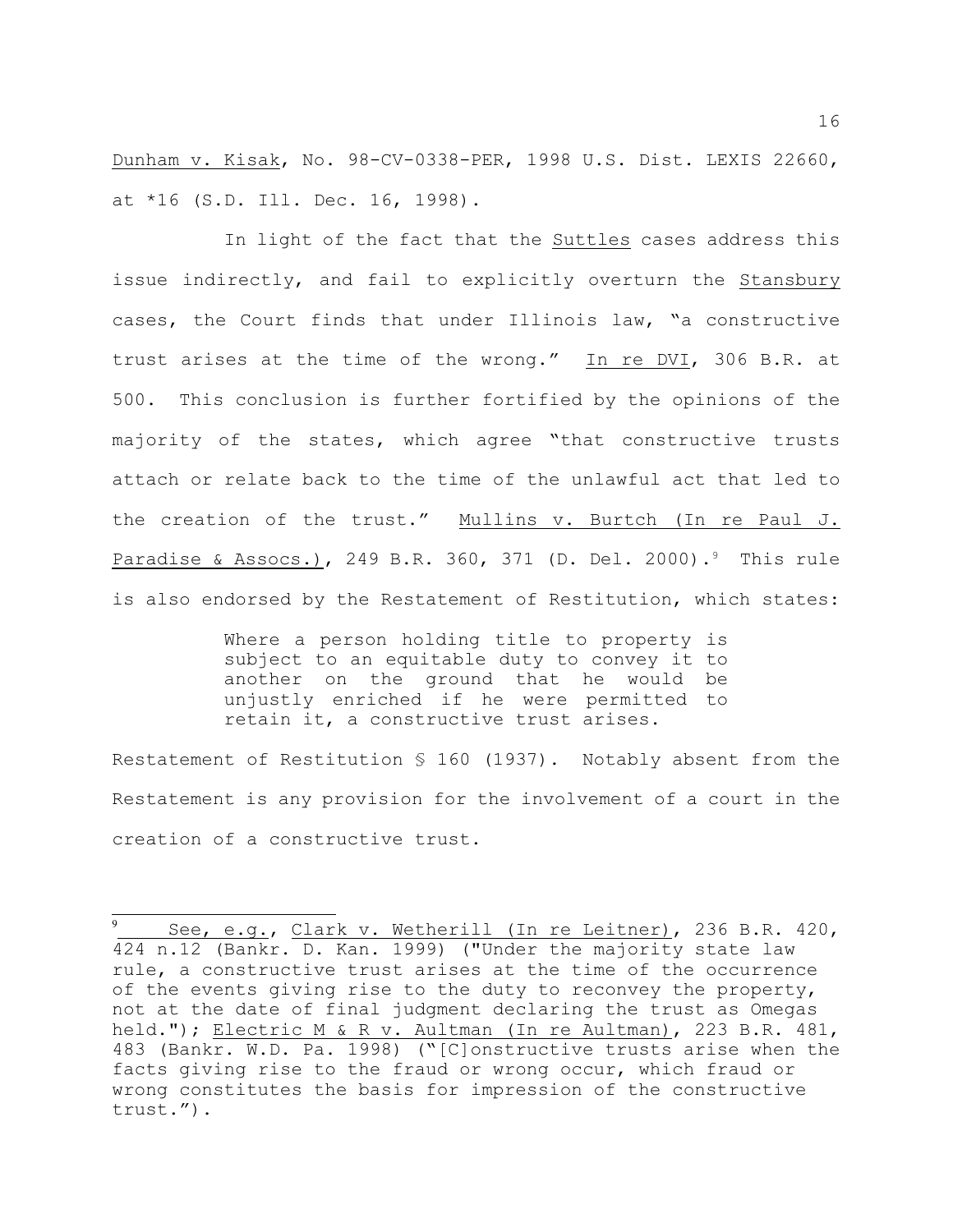Dunham v. Kisak, No. 98-CV-0338-PER, 1998 U.S. Dist. LEXIS 22660, at \*16 (S.D. Ill. Dec. 16, 1998).

In light of the fact that the Suttles cases address this issue indirectly, and fail to explicitly overturn the Stansbury cases, the Court finds that under Illinois law, "a constructive trust arises at the time of the wrong." In re DVI, 306 B.R. at 500. This conclusion is further fortified by the opinions of the majority of the states, which agree "that constructive trusts attach or relate back to the time of the unlawful act that led to the creation of the trust." Mullins v. Burtch (In re Paul J. Paradise & Assocs.), 249 B.R. 360, 371 (D. Del. 2000).<sup>9</sup> This rule is also endorsed by the Restatement of Restitution, which states:

> Where a person holding title to property is subject to an equitable duty to convey it to another on the ground that he would be unjustly enriched if he were permitted to retain it, a constructive trust arises.

Restatement of Restitution  $S$  160 (1937). Notably absent from the Restatement is any provision for the involvement of a court in the creation of a constructive trust.

See, e.g., Clark v. Wetherill (In re Leitner), 236 B.R. 420, 424 n.12 (Bankr. D. Kan. 1999) ("Under the majority state law rule, a constructive trust arises at the time of the occurrence of the events giving rise to the duty to reconvey the property, not at the date of final judgment declaring the trust as Omegas held."); Electric M & R v. Aultman (In re Aultman), 223 B.R. 481, 483 (Bankr. W.D. Pa. 1998) ("[C]onstructive trusts arise when the facts giving rise to the fraud or wrong occur, which fraud or wrong constitutes the basis for impression of the constructive trust.").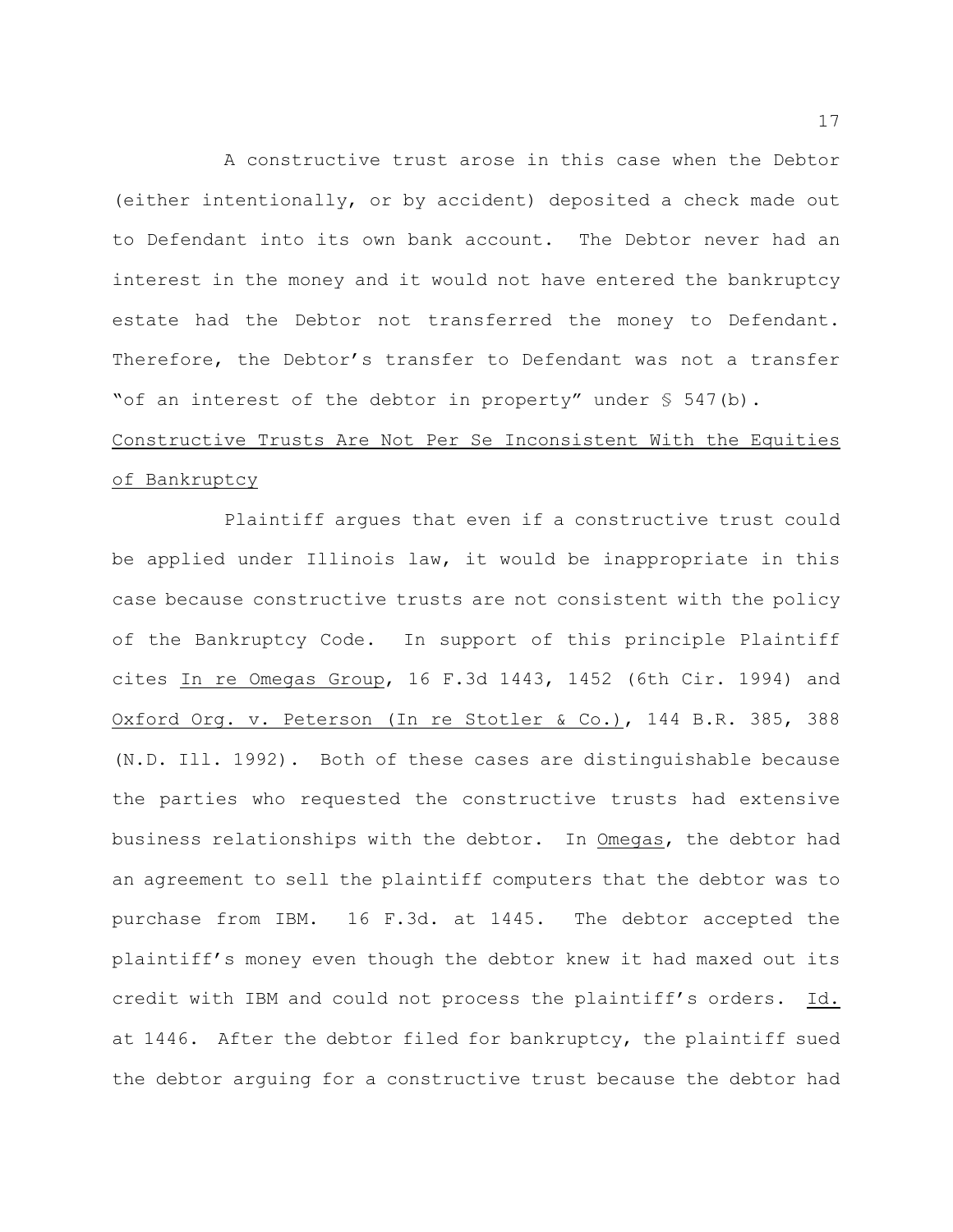A constructive trust arose in this case when the Debtor (either intentionally, or by accident) deposited a check made out to Defendant into its own bank account. The Debtor never had an interest in the money and it would not have entered the bankruptcy estate had the Debtor not transferred the money to Defendant. Therefore, the Debtor's transfer to Defendant was not a transfer "of an interest of the debtor in property" under § 547(b).

# Constructive Trusts Are Not Per Se Inconsistent With the Equities of Bankruptcy

Plaintiff argues that even if a constructive trust could be applied under Illinois law, it would be inappropriate in this case because constructive trusts are not consistent with the policy of the Bankruptcy Code. In support of this principle Plaintiff cites In re Omegas Group, 16 F.3d 1443, 1452 (6th Cir. 1994) and Oxford Org. v. Peterson (In re Stotler & Co.), 144 B.R. 385, 388 (N.D. Ill. 1992). Both of these cases are distinguishable because the parties who requested the constructive trusts had extensive business relationships with the debtor. In Omegas, the debtor had an agreement to sell the plaintiff computers that the debtor was to purchase from IBM. 16 F.3d. at 1445. The debtor accepted the plaintiff's money even though the debtor knew it had maxed out its credit with IBM and could not process the plaintiff's orders. Id. at 1446. After the debtor filed for bankruptcy, the plaintiff sued the debtor arguing for a constructive trust because the debtor had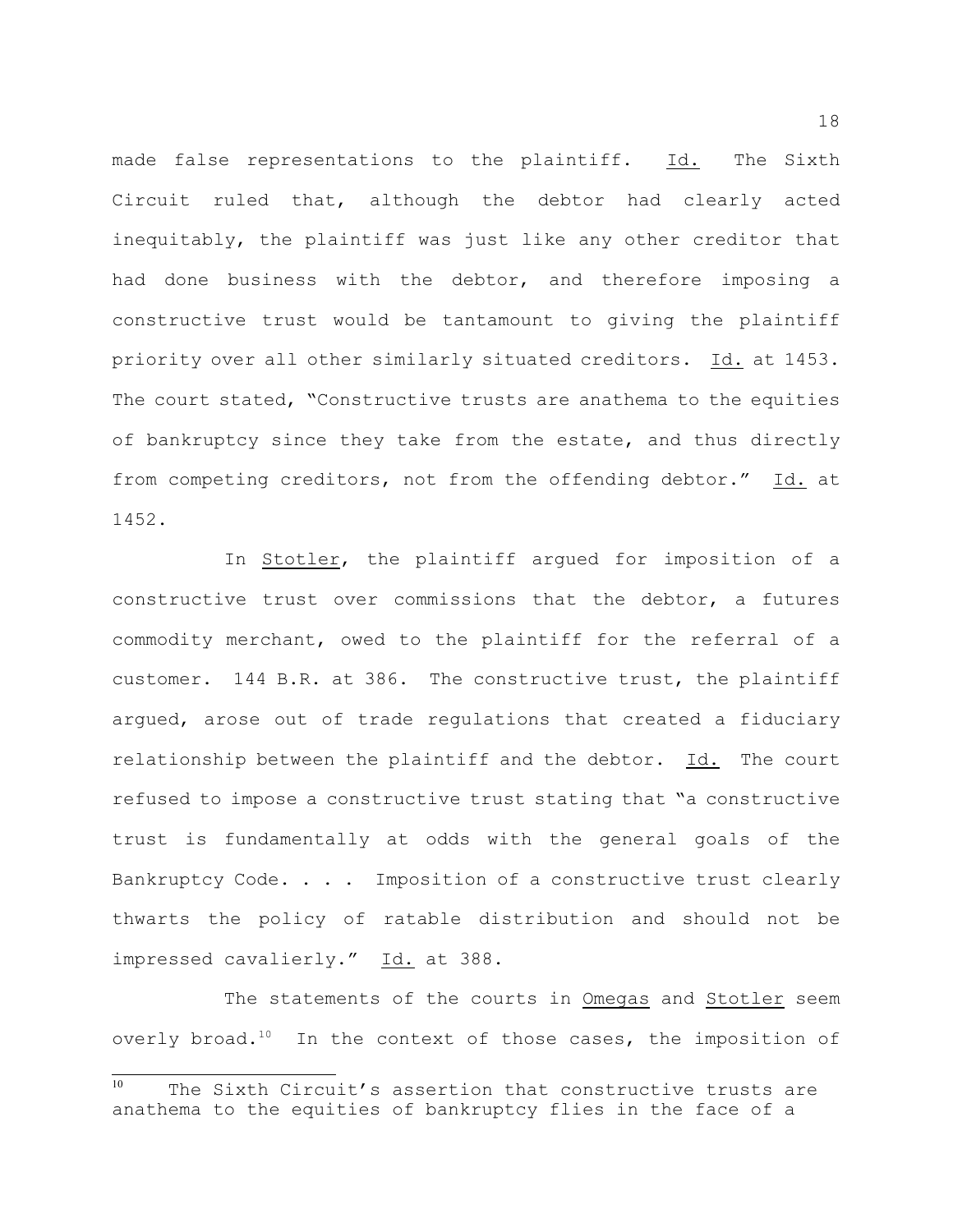made false representations to the plaintiff. Id. The Sixth Circuit ruled that, although the debtor had clearly acted inequitably, the plaintiff was just like any other creditor that had done business with the debtor, and therefore imposing a constructive trust would be tantamount to giving the plaintiff priority over all other similarly situated creditors. Id. at 1453. The court stated, "Constructive trusts are anathema to the equities of bankruptcy since they take from the estate, and thus directly from competing creditors, not from the offending debtor." Id. at 1452.

In Stotler, the plaintiff argued for imposition of a constructive trust over commissions that the debtor, a futures commodity merchant, owed to the plaintiff for the referral of a customer. 144 B.R. at 386. The constructive trust, the plaintiff argued, arose out of trade regulations that created a fiduciary relationship between the plaintiff and the debtor. Id. The court refused to impose a constructive trust stating that "a constructive trust is fundamentally at odds with the general goals of the Bankruptcy Code. . . . Imposition of a constructive trust clearly thwarts the policy of ratable distribution and should not be impressed cavalierly." Id. at 388.

The statements of the courts in Omegas and Stotler seem overly broad.<sup>10</sup> In the context of those cases, the imposition of

 $10$  The Sixth Circuit's assertion that constructive trusts are anathema to the equities of bankruptcy flies in the face of a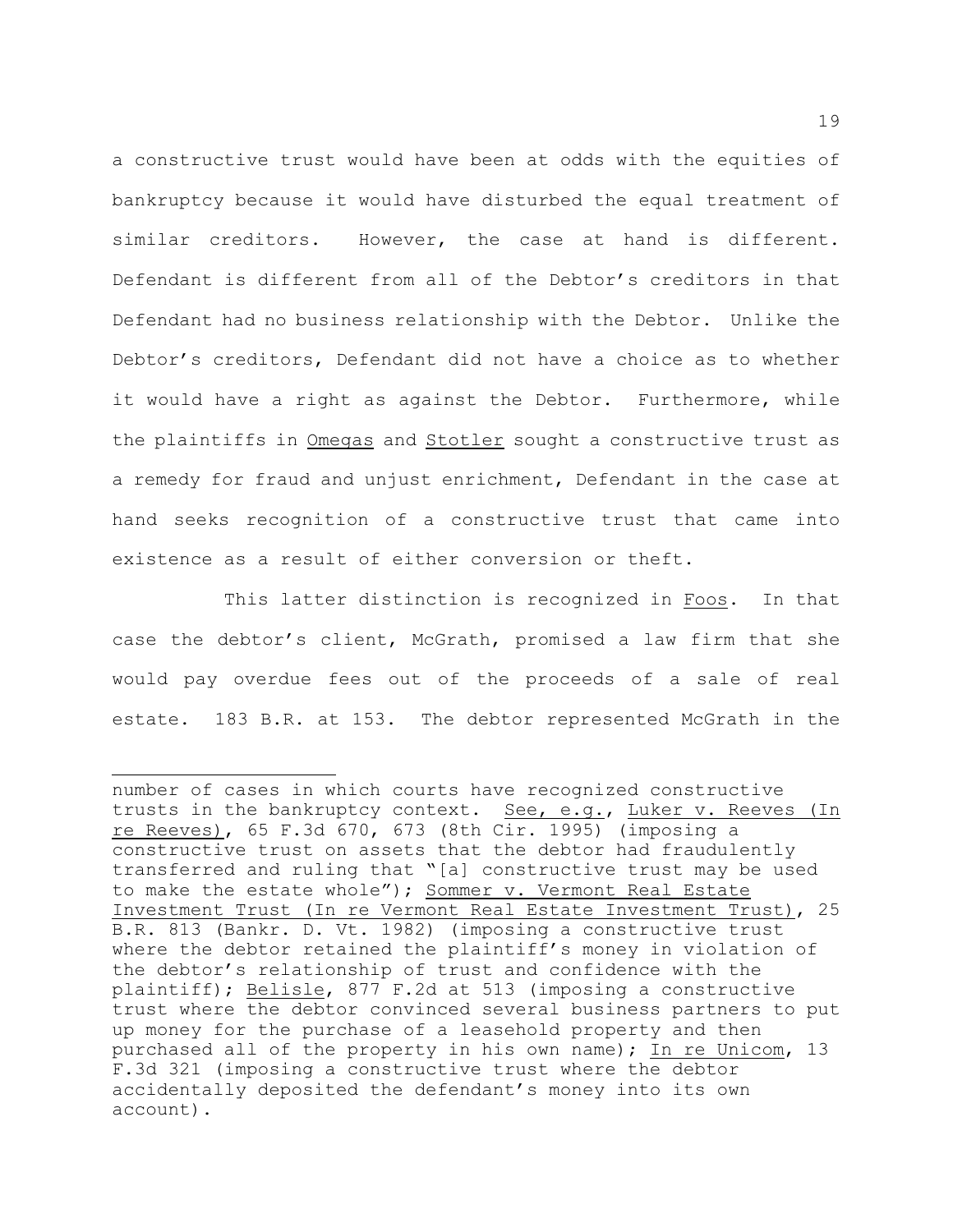a constructive trust would have been at odds with the equities of bankruptcy because it would have disturbed the equal treatment of similar creditors. However, the case at hand is different. Defendant is different from all of the Debtor's creditors in that Defendant had no business relationship with the Debtor. Unlike the Debtor's creditors, Defendant did not have a choice as to whether it would have a right as against the Debtor. Furthermore, while the plaintiffs in Omegas and Stotler sought a constructive trust as a remedy for fraud and unjust enrichment, Defendant in the case at hand seeks recognition of a constructive trust that came into existence as a result of either conversion or theft.

This latter distinction is recognized in Foos. In that case the debtor's client, McGrath, promised a law firm that she would pay overdue fees out of the proceeds of a sale of real estate. 183 B.R. at 153. The debtor represented McGrath in the

number of cases in which courts have recognized constructive trusts in the bankruptcy context. See, e.g., Luker v. Reeves (In re Reeves), 65 F.3d 670, 673 (8th Cir. 1995) (imposing a constructive trust on assets that the debtor had fraudulently transferred and ruling that "[a] constructive trust may be used to make the estate whole"); Sommer v. Vermont Real Estate Investment Trust (In re Vermont Real Estate Investment Trust), 25 B.R. 813 (Bankr. D. Vt. 1982) (imposing a constructive trust where the debtor retained the plaintiff's money in violation of the debtor's relationship of trust and confidence with the plaintiff); Belisle, 877 F.2d at 513 (imposing a constructive trust where the debtor convinced several business partners to put up money for the purchase of a leasehold property and then purchased all of the property in his own name); In re Unicom, 13 F.3d 321 (imposing a constructive trust where the debtor accidentally deposited the defendant's money into its own account).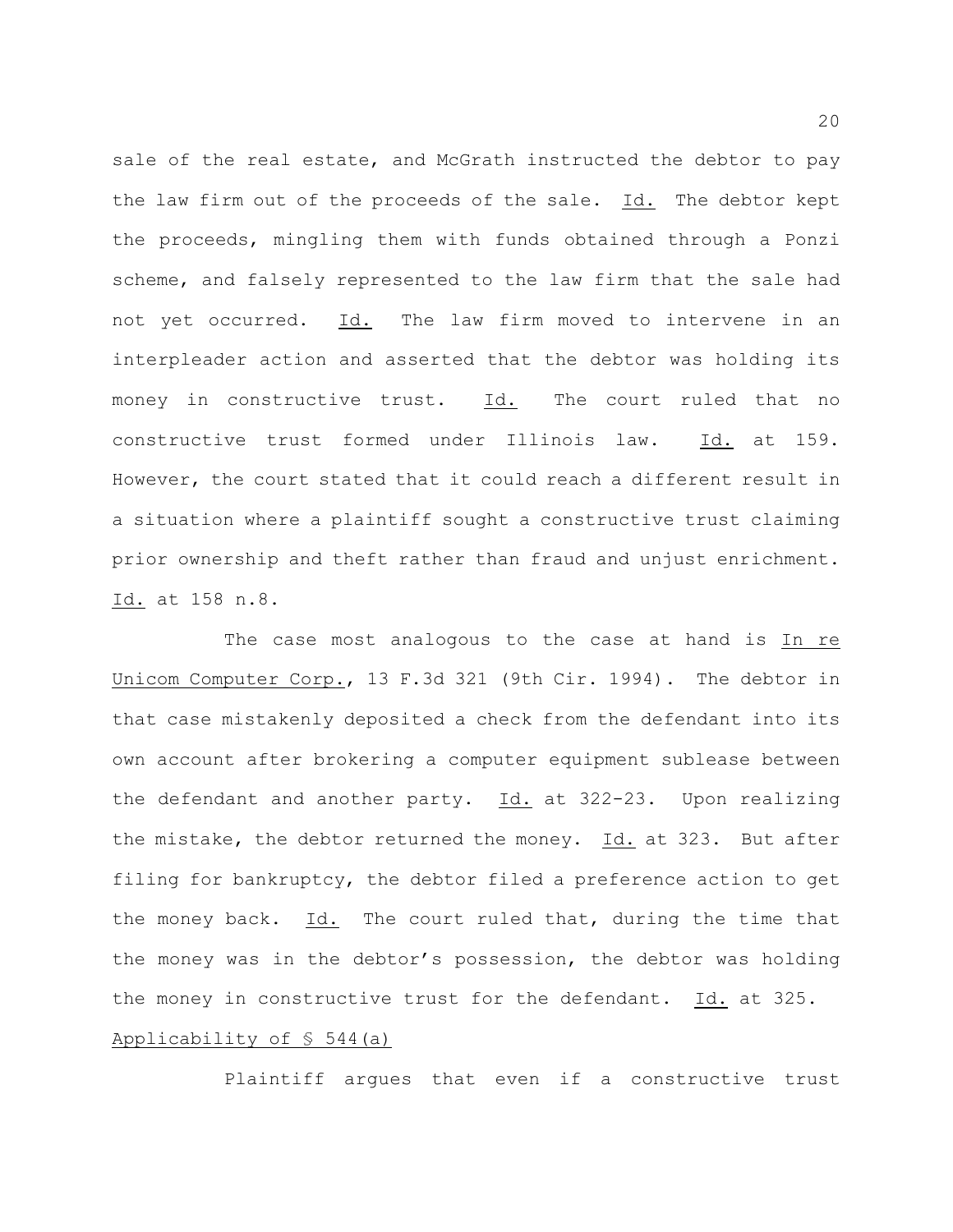sale of the real estate, and McGrath instructed the debtor to pay the law firm out of the proceeds of the sale. Id. The debtor kept the proceeds, mingling them with funds obtained through a Ponzi scheme, and falsely represented to the law firm that the sale had not yet occurred. Id. The law firm moved to intervene in an interpleader action and asserted that the debtor was holding its money in constructive trust. Id. The court ruled that no constructive trust formed under Illinois law. Id. at 159. However, the court stated that it could reach a different result in a situation where a plaintiff sought a constructive trust claiming prior ownership and theft rather than fraud and unjust enrichment. Id. at 158 n.8.

The case most analogous to the case at hand is In re Unicom Computer Corp., 13 F.3d 321 (9th Cir. 1994). The debtor in that case mistakenly deposited a check from the defendant into its own account after brokering a computer equipment sublease between the defendant and another party.  $Id.$  at 322-23. Upon realizing the mistake, the debtor returned the money. Id. at 323. But after filing for bankruptcy, the debtor filed a preference action to get the money back. Id. The court ruled that, during the time that the money was in the debtor's possession, the debtor was holding the money in constructive trust for the defendant. Id. at 325. Applicability of § 544(a)

Plaintiff argues that even if a constructive trust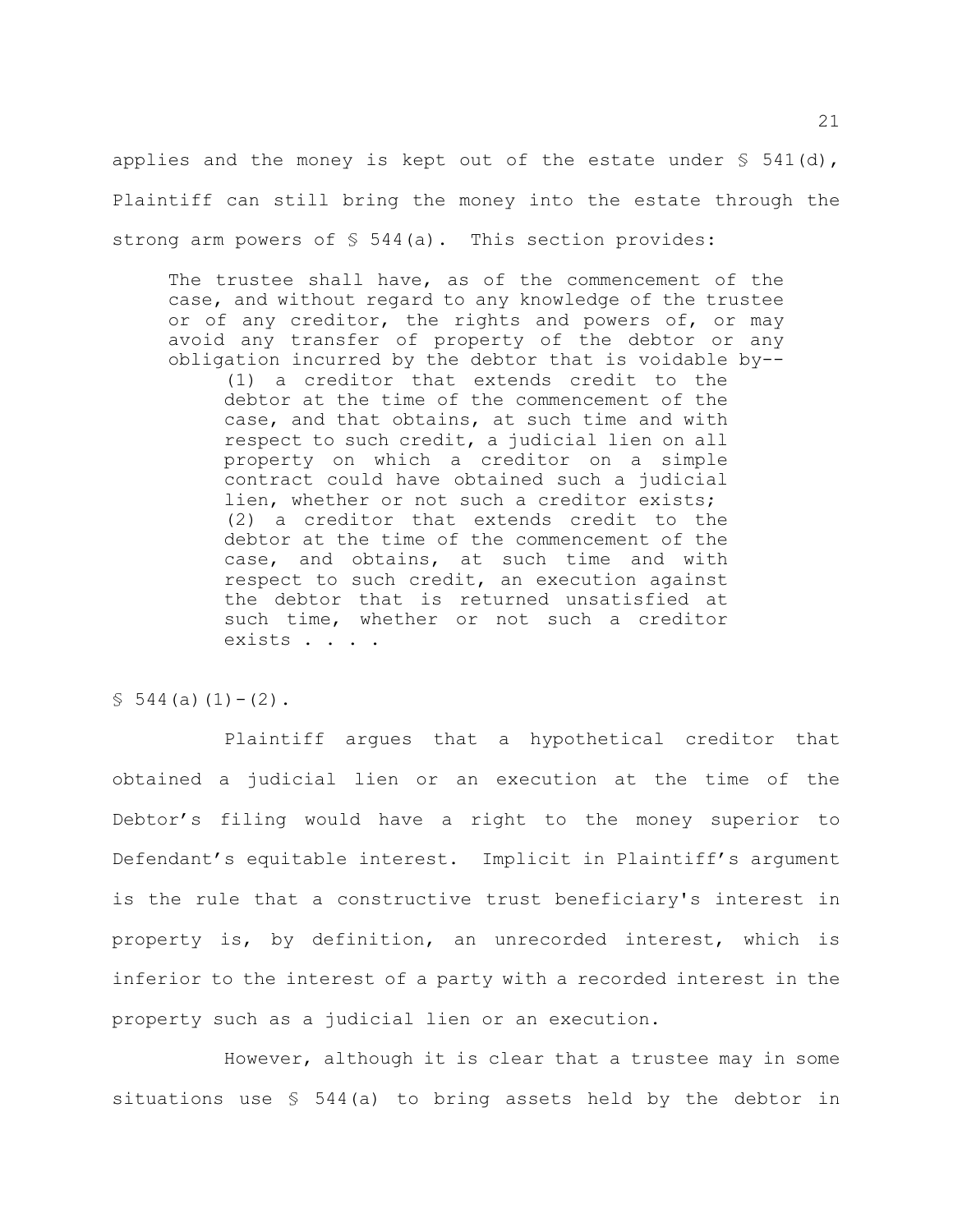applies and the money is kept out of the estate under  $\S$  541(d), Plaintiff can still bring the money into the estate through the strong arm powers of  $\S$  544(a). This section provides:

The trustee shall have, as of the commencement of the case, and without regard to any knowledge of the trustee or of any creditor, the rights and powers of, or may avoid any transfer of property of the debtor or any obligation incurred by the debtor that is voidable by--

(1) a creditor that extends credit to the debtor at the time of the commencement of the case, and that obtains, at such time and with respect to such credit, a judicial lien on all property on which a creditor on a simple contract could have obtained such a judicial lien, whether or not such a creditor exists; (2) a creditor that extends credit to the debtor at the time of the commencement of the case, and obtains, at such time and with respect to such credit, an execution against the debtor that is returned unsatisfied at such time, whether or not such a creditor exists . . . .

 $$544(a)(1)-(2)$ .

Plaintiff argues that a hypothetical creditor that obtained a judicial lien or an execution at the time of the Debtor's filing would have a right to the money superior to Defendant's equitable interest. Implicit in Plaintiff's argument is the rule that a constructive trust beneficiary's interest in property is, by definition, an unrecorded interest, which is inferior to the interest of a party with a recorded interest in the property such as a judicial lien or an execution.

However, although it is clear that a trustee may in some situations use § 544(a) to bring assets held by the debtor in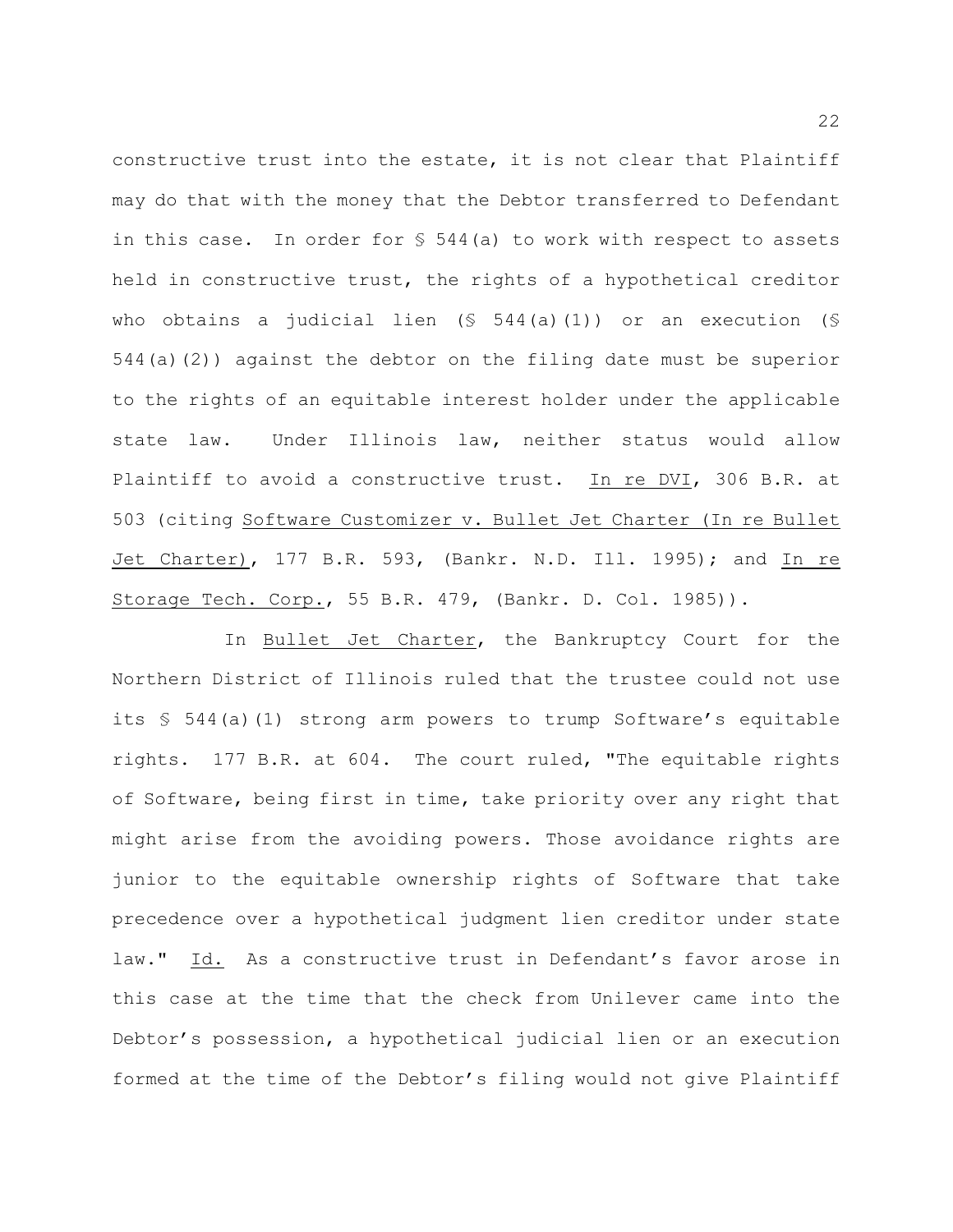constructive trust into the estate, it is not clear that Plaintiff may do that with the money that the Debtor transferred to Defendant in this case. In order for § 544(a) to work with respect to assets held in constructive trust, the rights of a hypothetical creditor who obtains a judicial lien  $(S 544(a)(1))$  or an execution  $(S 544(a)(1))$ 544(a)(2)) against the debtor on the filing date must be superior to the rights of an equitable interest holder under the applicable state law. Under Illinois law, neither status would allow Plaintiff to avoid a constructive trust. In re DVI, 306 B.R. at 503 (citing Software Customizer v. Bullet Jet Charter (In re Bullet Jet Charter), 177 B.R. 593, (Bankr. N.D. Ill. 1995); and In re Storage Tech. Corp., 55 B.R. 479, (Bankr. D. Col. 1985)).

In Bullet Jet Charter, the Bankruptcy Court for the Northern District of Illinois ruled that the trustee could not use its § 544(a)(1) strong arm powers to trump Software's equitable rights. 177 B.R. at 604. The court ruled, "The equitable rights of Software, being first in time, take priority over any right that might arise from the avoiding powers. Those avoidance rights are junior to the equitable ownership rights of Software that take precedence over a hypothetical judgment lien creditor under state law." Id. As a constructive trust in Defendant's favor arose in this case at the time that the check from Unilever came into the Debtor's possession, a hypothetical judicial lien or an execution formed at the time of the Debtor's filing would not give Plaintiff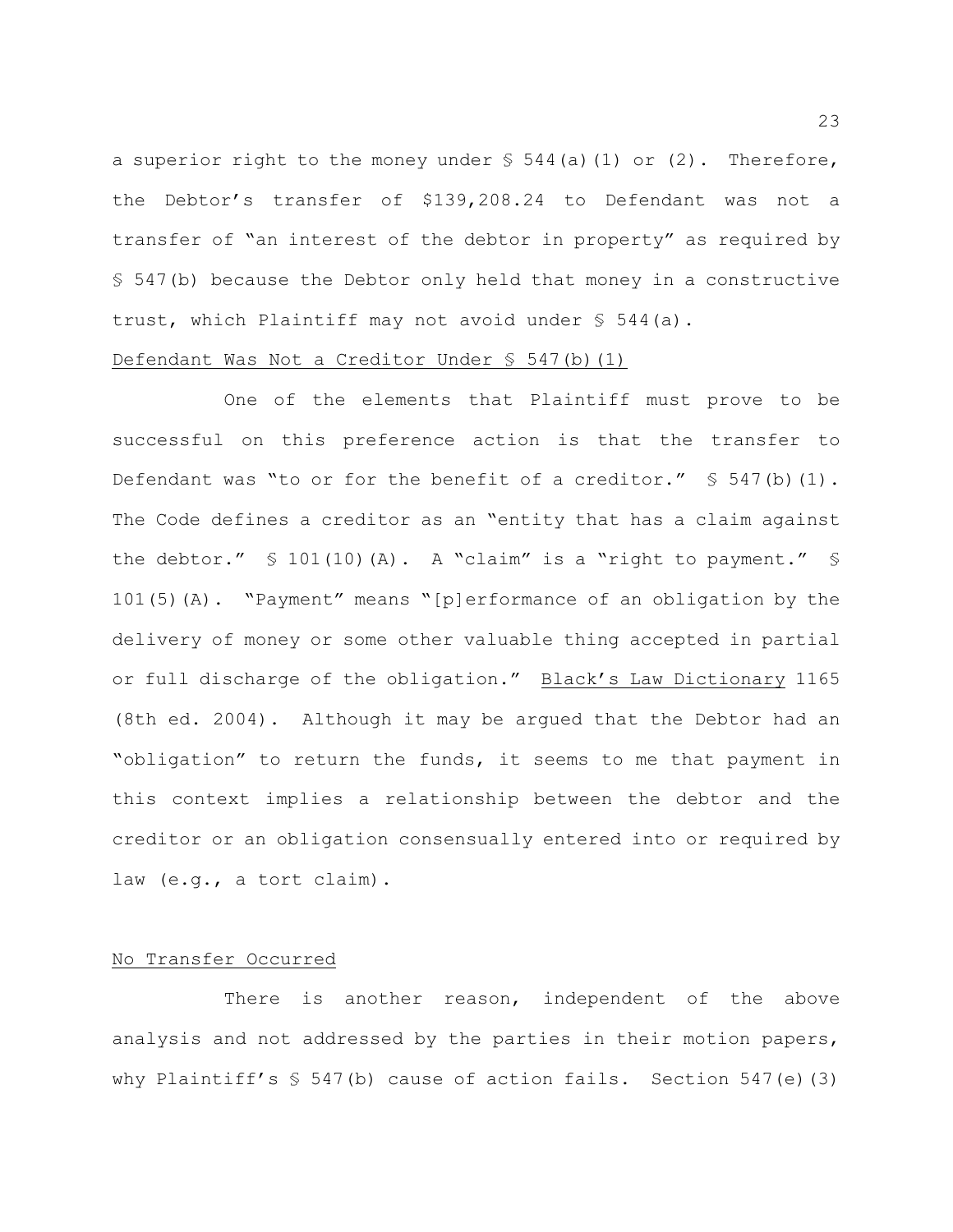a superior right to the money under  $\frac{1}{2}$  544(a)(1) or (2). Therefore, the Debtor's transfer of \$139,208.24 to Defendant was not a transfer of "an interest of the debtor in property" as required by § 547(b) because the Debtor only held that money in a constructive trust, which Plaintiff may not avoid under § 544(a).

## Defendant Was Not a Creditor Under  $\S$  547(b)(1)

One of the elements that Plaintiff must prove to be successful on this preference action is that the transfer to Defendant was "to or for the benefit of a creditor."  $\S$  547(b)(1). The Code defines a creditor as an "entity that has a claim against the debtor."  $\text{\$} 101(10)(\text{A})$ . A "claim" is a "right to payment."  $\text{\$}$ 101(5)(A). "Payment" means "[p]erformance of an obligation by the delivery of money or some other valuable thing accepted in partial or full discharge of the obligation." Black's Law Dictionary 1165 (8th ed. 2004). Although it may be argued that the Debtor had an "obligation" to return the funds, it seems to me that payment in this context implies a relationship between the debtor and the creditor or an obligation consensually entered into or required by law (e.g., a tort claim).

## No Transfer Occurred

There is another reason, independent of the above analysis and not addressed by the parties in their motion papers, why Plaintiff's  $$547(b)$  cause of action fails. Section 547(e)(3)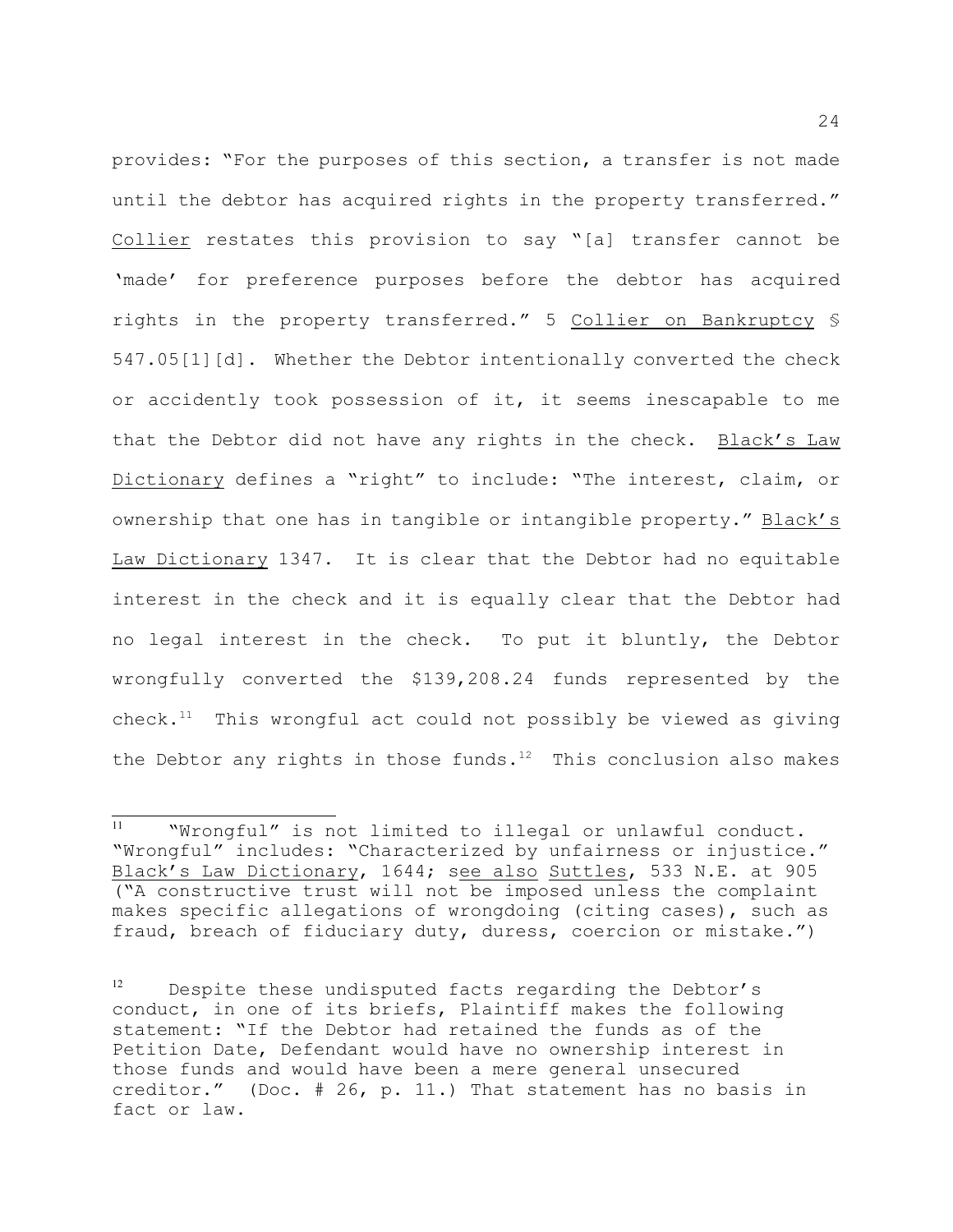provides: "For the purposes of this section, a transfer is not made until the debtor has acquired rights in the property transferred." Collier restates this provision to say "[a] transfer cannot be 'made' for preference purposes before the debtor has acquired rights in the property transferred." 5 Collier on Bankruptcy § 547.05[1][d]. Whether the Debtor intentionally converted the check or accidently took possession of it, it seems inescapable to me that the Debtor did not have any rights in the check. Black's Law Dictionary defines a "right" to include: "The interest, claim, or ownership that one has in tangible or intangible property." Black's Law Dictionary 1347. It is clear that the Debtor had no equitable interest in the check and it is equally clear that the Debtor had no legal interest in the check. To put it bluntly, the Debtor wrongfully converted the \$139,208.24 funds represented by the check.<sup>11</sup> This wrongful act could not possibly be viewed as giving the Debtor any rights in those funds.<sup>12</sup> This conclusion also makes

 $11$  Whrongful" is not limited to illegal or unlawful conduct. "Wrongful" includes: "Characterized by unfairness or injustice." Black's Law Dictionary, 1644; see also Suttles, 533 N.E. at 905 ("A constructive trust will not be imposed unless the complaint makes specific allegations of wrongdoing (citing cases), such as fraud, breach of fiduciary duty, duress, coercion or mistake.")

 $12$  Despite these undisputed facts regarding the Debtor's conduct, in one of its briefs, Plaintiff makes the following statement: "If the Debtor had retained the funds as of the Petition Date, Defendant would have no ownership interest in those funds and would have been a mere general unsecured creditor." (Doc. # 26, p. 11.) That statement has no basis in fact or law.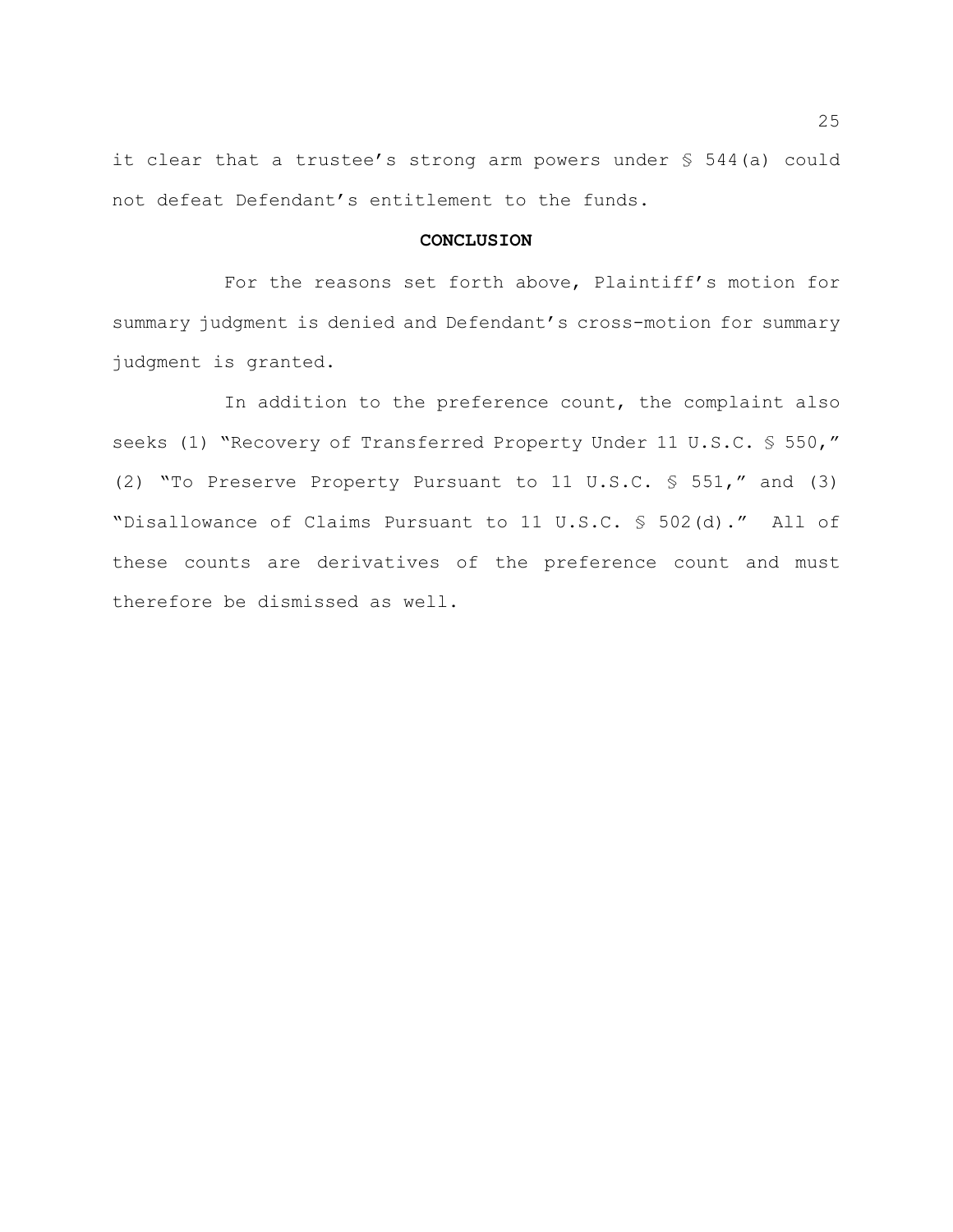it clear that a trustee's strong arm powers under § 544(a) could not defeat Defendant's entitlement to the funds.

## **CONCLUSION**

For the reasons set forth above, Plaintiff's motion for summary judgment is denied and Defendant's cross-motion for summary judgment is granted.

In addition to the preference count, the complaint also seeks (1) "Recovery of Transferred Property Under 11 U.S.C. § 550," (2) "To Preserve Property Pursuant to 11 U.S.C. § 551," and (3) "Disallowance of Claims Pursuant to 11 U.S.C. § 502(d)." All of these counts are derivatives of the preference count and must therefore be dismissed as well.